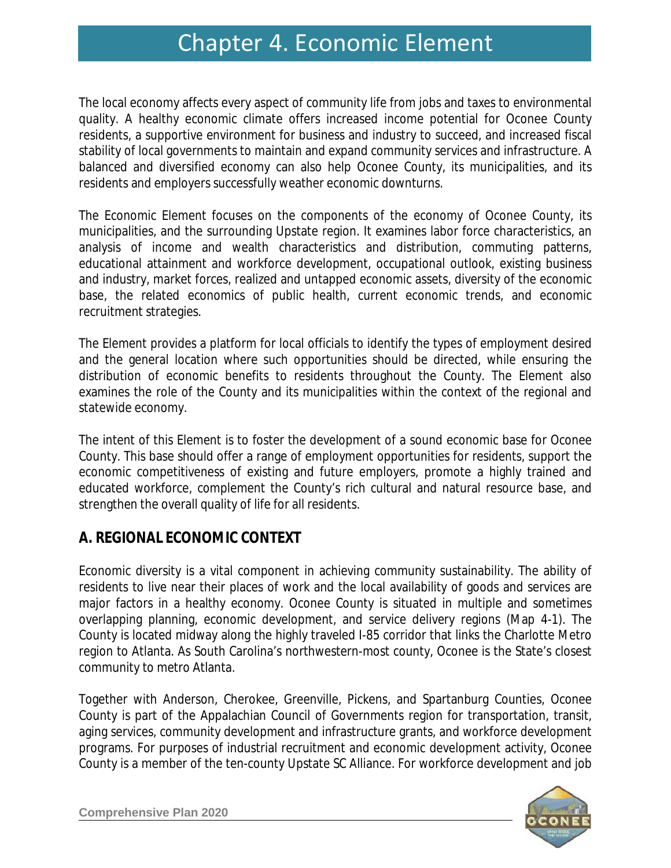# Chapter 4. Economic Element Chapter 4. Economic Element

The local economy affects every aspect of community life from jobs and taxes to environmental quality. A healthy economic climate offers increased income potential for Oconee County residents, a supportive environment for business and industry to succeed, and increased fiscal stability of local governments to maintain and expand community services and infrastructure. A balanced and diversified economy can also help Oconee County, its municipalities, and its residents and employers successfully weather economic downturns.

The Economic Element focuses on the components of the economy of Oconee County, its municipalities, and the surrounding Upstate region. It examines labor force characteristics, an analysis of income and wealth characteristics and distribution, commuting patterns, educational attainment and workforce development, occupational outlook, existing business and industry, market forces, realized and untapped economic assets, diversity of the economic base, the related economics of public health, current economic trends, and economic recruitment strategies.

The Element provides a platform for local officials to identify the types of employment desired and the general location where such opportunities should be directed, while ensuring the distribution of economic benefits to residents throughout the County. The Element also examines the role of the County and its municipalities within the context of the regional and statewide economy.

The intent of this Element is to foster the development of a sound economic base for Oconee County. This base should offer a range of employment opportunities for residents, support the economic competitiveness of existing and future employers, promote a highly trained and educated workforce, complement the County's rich cultural and natural resource base, and strengthen the overall quality of life for all residents.

# **A. REGIONAL ECONOMIC CONTEXT**

Economic diversity is a vital component in achieving community sustainability. The ability of residents to live near their places of work and the local availability of goods and services are major factors in a healthy economy. Oconee County is situated in multiple and sometimes overlapping planning, economic development, and service delivery regions (Map 4-1). The County is located midway along the highly traveled I-85 corridor that links the Charlotte Metro region to Atlanta. As South Carolina's northwestern-most county, Oconee is the State's closest community to metro Atlanta.

Together with Anderson, Cherokee, Greenville, Pickens, and Spartanburg Counties, Oconee County is part of the Appalachian Council of Governments region for transportation, transit, aging services, community development and infrastructure grants, and workforce development programs. For purposes of industrial recruitment and economic development activity, Oconee County is a member of the ten-county Upstate SC Alliance. For workforce development and job

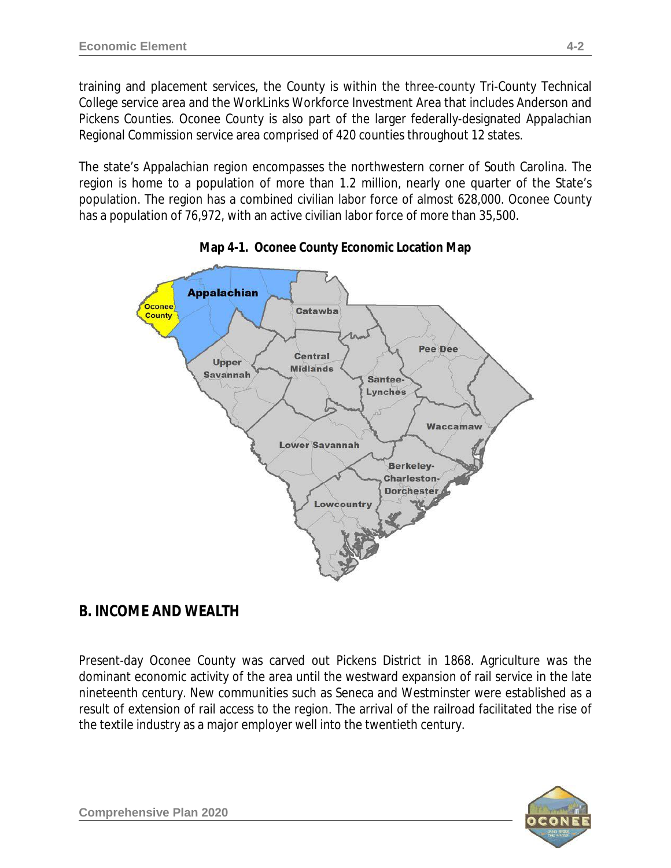training and placement services, the County is within the three-county Tri-County Technical College service area and the WorkLinks Workforce Investment Area that includes Anderson and Pickens Counties. Oconee County is also part of the larger federally-designated Appalachian Regional Commission service area comprised of 420 counties throughout 12 states.

The state's Appalachian region encompasses the northwestern corner of South Carolina. The region is home to a population of more than 1.2 million, nearly one quarter of the State's population. The region has a combined civilian labor force of almost 628,000. Oconee County has a population of 76,972, with an active civilian labor force of more than 35,500.





# **B. INCOME AND WEALTH**

Present-day Oconee County was carved out Pickens District in 1868. Agriculture was the dominant economic activity of the area until the westward expansion of rail service in the late nineteenth century. New communities such as Seneca and Westminster were established as a result of extension of rail access to the region. The arrival of the railroad facilitated the rise of the textile industry as a major employer well into the twentieth century.

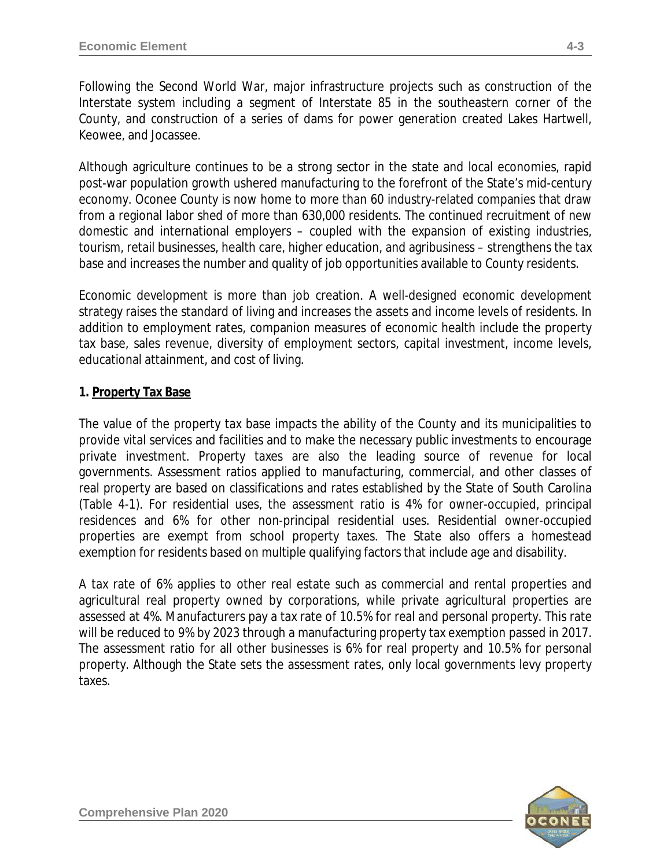Following the Second World War, major infrastructure projects such as construction of the Interstate system including a segment of Interstate 85 in the southeastern corner of the County, and construction of a series of dams for power generation created Lakes Hartwell, Keowee, and Jocassee.

Although agriculture continues to be a strong sector in the state and local economies, rapid post-war population growth ushered manufacturing to the forefront of the State's mid-century economy. Oconee County is now home to more than 60 industry-related companies that draw from a regional labor shed of more than 630,000 residents. The continued recruitment of new domestic and international employers – coupled with the expansion of existing industries, tourism, retail businesses, health care, higher education, and agribusiness – strengthens the tax base and increases the number and quality of job opportunities available to County residents.

Economic development is more than job creation. A well-designed economic development strategy raises the standard of living and increases the assets and income levels of residents. In addition to employment rates, companion measures of economic health include the property tax base, sales revenue, diversity of employment sectors, capital investment, income levels, educational attainment, and cost of living.

### **1. Property Tax Base**

The value of the property tax base impacts the ability of the County and its municipalities to provide vital services and facilities and to make the necessary public investments to encourage private investment. Property taxes are also the leading source of revenue for local governments. Assessment ratios applied to manufacturing, commercial, and other classes of real property are based on classifications and rates established by the State of South Carolina (Table 4-1). For residential uses, the assessment ratio is 4% for owner-occupied, principal residences and 6% for other non-principal residential uses. Residential owner-occupied properties are exempt from school property taxes. The State also offers a homestead exemption for residents based on multiple qualifying factors that include age and disability.

A tax rate of 6% applies to other real estate such as commercial and rental properties and agricultural real property owned by corporations, while private agricultural properties are assessed at 4%. Manufacturers pay a tax rate of 10.5% for real and personal property. This rate will be reduced to 9% by 2023 through a manufacturing property tax exemption passed in 2017. The assessment ratio for all other businesses is 6% for real property and 10.5% for personal property. Although the State sets the assessment rates, only local governments levy property taxes.

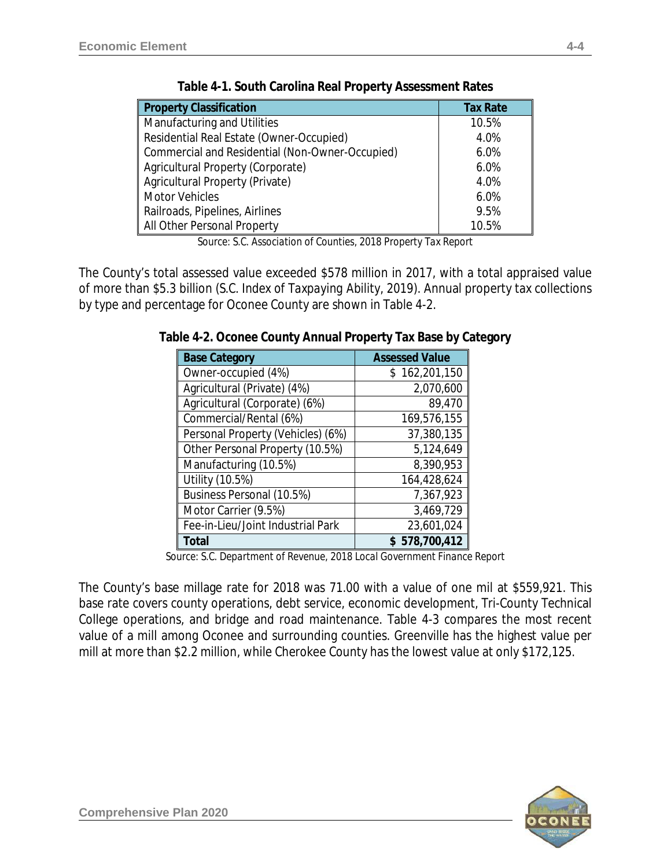| <b>Property Classification</b>                  | <b>Tax Rate</b> |
|-------------------------------------------------|-----------------|
| Manufacturing and Utilities                     | 10.5%           |
| Residential Real Estate (Owner-Occupied)        | 4.0%            |
| Commercial and Residential (Non-Owner-Occupied) | 6.0%            |
| Agricultural Property (Corporate)               | 6.0%            |
| Agricultural Property (Private)                 | 4.0%            |
| <b>Motor Vehicles</b>                           | 6.0%            |
| Railroads, Pipelines, Airlines                  | 9.5%            |
| All Other Personal Property                     | 10.5%           |

*Source: S.C. Association of Counties, 2018 Property Tax Report*

The County's total assessed value exceeded \$578 million in 2017, with a total appraised value of more than \$5.3 billion (*S.C. Index of Taxpaying Ability, 2019*). Annual property tax collections by type and percentage for Oconee County are shown in Table 4-2.

| <b>Base Category</b>              | <b>Assessed Value</b> |
|-----------------------------------|-----------------------|
| Owner-occupied (4%)               | \$162,201,150         |
| Agricultural (Private) (4%)       | 2,070,600             |
| Agricultural (Corporate) (6%)     | 89,470                |
| Commercial/Rental (6%)            | 169,576,155           |
| Personal Property (Vehicles) (6%) | 37,380,135            |
| Other Personal Property (10.5%)   | 5,124,649             |
| Manufacturing (10.5%)             | 8,390,953             |
| Utility (10.5%)                   | 164,428,624           |
| Business Personal (10.5%)         | 7,367,923             |
| Motor Carrier (9.5%)              | 3,469,729             |
| Fee-in-Lieu/Joint Industrial Park | 23,601,024            |
| Total                             | \$578,700,412         |

**Table 4-2. Oconee County Annual Property Tax Base by Category**

*Source: S.C. Department of Revenue, 2018 Local Government Finance Report*

The County's base millage rate for 2018 was 71.00 with a value of one mil at \$559,921. This base rate covers county operations, debt service, economic development, Tri-County Technical College operations, and bridge and road maintenance. Table 4-3 compares the most recent value of a mill among Oconee and surrounding counties. Greenville has the highest value per mill at more than \$2.2 million, while Cherokee County has the lowest value at only \$172,125.

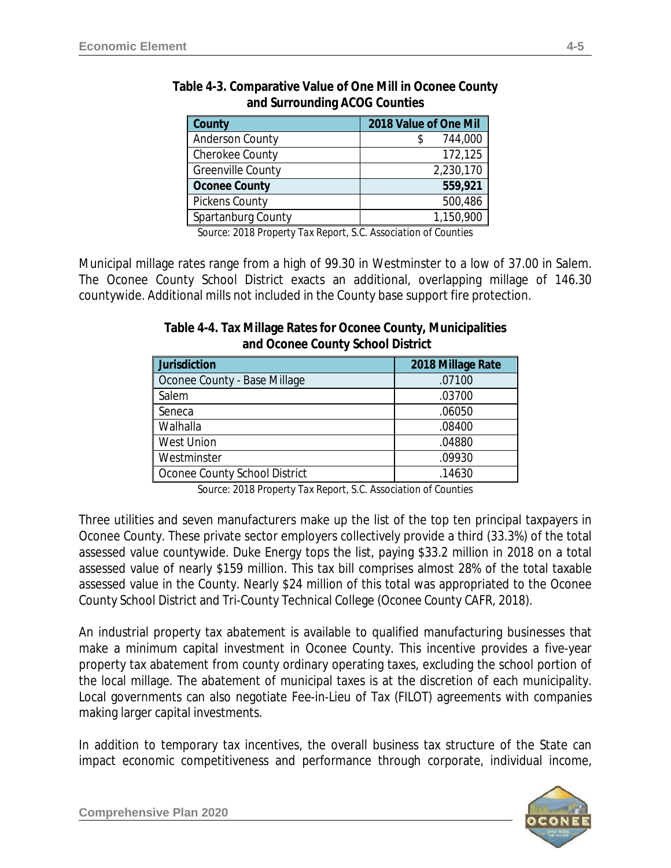| County                 | 2018 Value of One Mil |
|------------------------|-----------------------|
| <b>Anderson County</b> | 744,000               |
| Cherokee County        | 172,125               |
| Greenville County      | 2,230,170             |
| <b>Oconee County</b>   | 559,921               |
| <b>Pickens County</b>  | 500,486               |
| Spartanburg County     | 1,150,900             |

### **Table 4-3. Comparative Value of One Mill in Oconee County and Surrounding ACOG Counties**

*Source: 2018 Property Tax Report, S.C. Association of Counties*

Municipal millage rates range from a high of 99.30 in Westminster to a low of 37.00 in Salem. The Oconee County School District exacts an additional, overlapping millage of 146.30 countywide. Additional mills not included in the County base support fire protection.

| Jurisdiction                  | 2018 Millage Rate |
|-------------------------------|-------------------|
| Oconee County - Base Millage  | .07100            |
| Salem                         | .03700            |
| Seneca                        | .06050            |
| Walhalla                      | .08400            |
| <b>West Union</b>             | .04880            |
| Westminster                   | .09930            |
| Oconee County School District | .14630            |

### **Table 4-4. Tax Millage Rates for Oconee County, Municipalities and Oconee County School District**

*Source: 2018 Property Tax Report, S.C. Association of Counties*

Three utilities and seven manufacturers make up the list of the top ten principal taxpayers in Oconee County. These private sector employers collectively provide a third (33.3%) of the total assessed value countywide. Duke Energy tops the list, paying \$33.2 million in 2018 on a total assessed value of nearly \$159 million. This tax bill comprises almost 28% of the total taxable assessed value in the County. Nearly \$24 million of this total was appropriated to the Oconee County School District and Tri-County Technical College (*Oconee County CAFR, 2018*).

An industrial property tax abatement is available to qualified manufacturing businesses that make a minimum capital investment in Oconee County. This incentive provides a five-year property tax abatement from county ordinary operating taxes, excluding the school portion of the local millage. The abatement of municipal taxes is at the discretion of each municipality. Local governments can also negotiate Fee-in-Lieu of Tax (FILOT) agreements with companies making larger capital investments.

In addition to temporary tax incentives, the overall business tax structure of the State can impact economic competitiveness and performance through corporate, individual income,

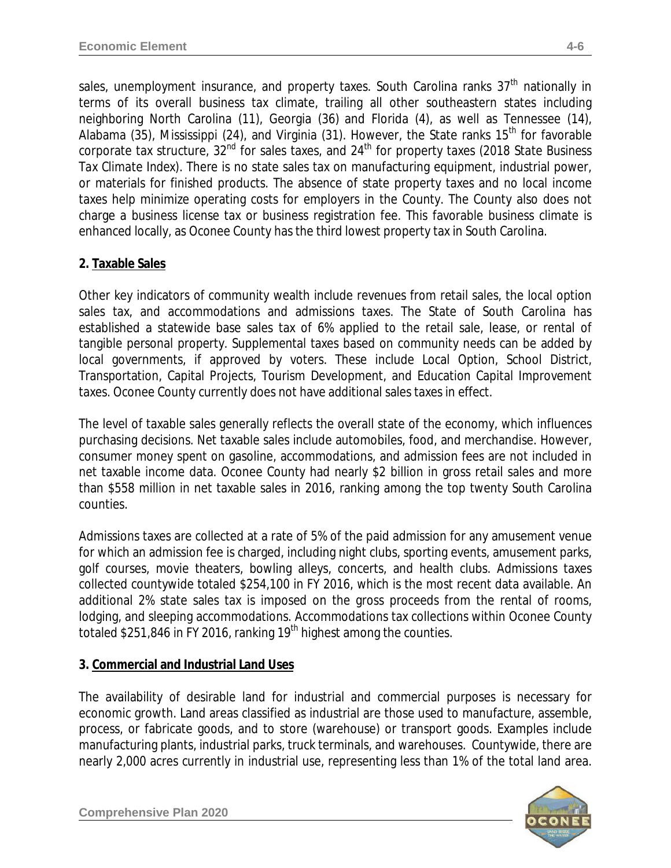sales, unemployment insurance, and property taxes. South Carolina ranks  $37<sup>th</sup>$  nationally in terms of its overall business tax climate, trailing all other southeastern states including neighboring North Carolina (11), Georgia (36) and Florida (4), as well as Tennessee (14), Alabama (35), Mississippi (24), and Virginia (31). However, the State ranks  $15<sup>th</sup>$  for favorable corporate tax structure, 32nd for sales taxes, and 24th for property taxes *(2018 State Business Tax Climate Index)*. There is no state sales tax on manufacturing equipment, industrial power, or materials for finished products. The absence of state property taxes and no local income taxes help minimize operating costs for employers in the County. The County also does not charge a business license tax or business registration fee. This favorable business climate is enhanced locally, as Oconee County has the third lowest property tax in South Carolina.

### **2. Taxable Sales**

Other key indicators of community wealth include revenues from retail sales, the local option sales tax, and accommodations and admissions taxes. The State of South Carolina has established a statewide base sales tax of 6% applied to the retail sale, lease, or rental of tangible personal property. Supplemental taxes based on community needs can be added by local governments, if approved by voters. These include Local Option, School District, Transportation, Capital Projects, Tourism Development, and Education Capital Improvement taxes. Oconee County currently does not have additional sales taxes in effect.

The level of taxable sales generally reflects the overall state of the economy, which influences purchasing decisions. Net taxable sales include automobiles, food, and merchandise. However, consumer money spent on gasoline, accommodations, and admission fees are not included in net taxable income data. Oconee County had nearly \$2 billion in gross retail sales and more than \$558 million in net taxable sales in 2016, ranking among the top twenty South Carolina counties.

Admissions taxes are collected at a rate of 5% of the paid admission for any amusement venue for which an admission fee is charged, including night clubs, sporting events, amusement parks, golf courses, movie theaters, bowling alleys, concerts, and health clubs. Admissions taxes collected countywide totaled \$254,100 in FY 2016, which is the most recent data available. An additional 2% state sales tax is imposed on the gross proceeds from the rental of rooms, lodging, and sleeping accommodations. Accommodations tax collections within Oconee County totaled \$251,846 in FY 2016, ranking 19<sup>th</sup> highest among the counties.

### **3. Commercial and Industrial Land Uses**

The availability of desirable land for industrial and commercial purposes is necessary for economic growth. Land areas classified as industrial are those used to manufacture, assemble, process, or fabricate goods, and to store (warehouse) or transport goods. Examples include manufacturing plants, industrial parks, truck terminals, and warehouses. Countywide, there are nearly 2,000 acres currently in industrial use, representing less than 1% of the total land area.

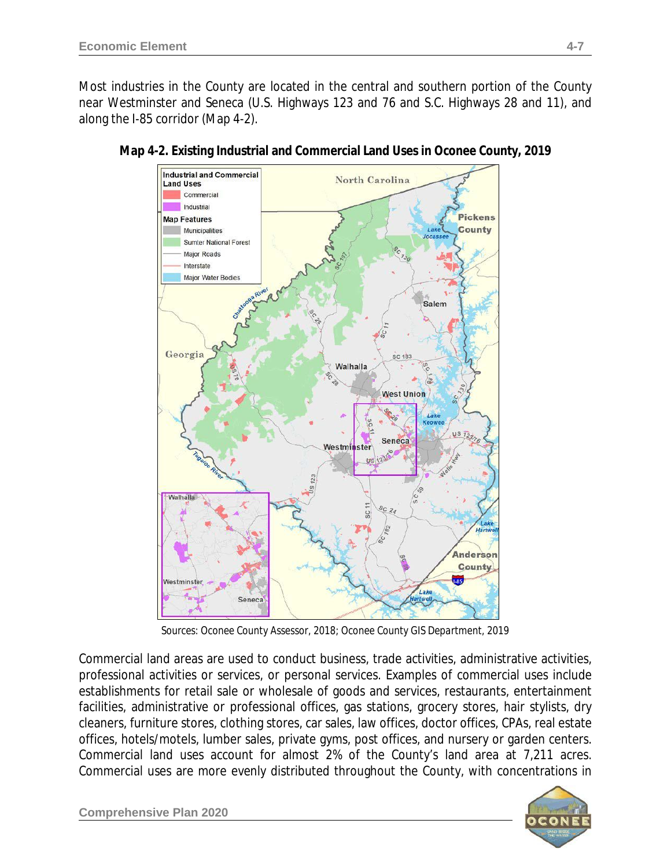Most industries in the County are located in the central and southern portion of the County near Westminster and Seneca (U.S. Highways 123 and 76 and S.C. Highways 28 and 11), and along the I-85 corridor (Map 4-2).



**Map 4-2. Existing Industrial and Commercial Land Uses in Oconee County, 2019**

*Sources: Oconee County Assessor, 2018; Oconee County GIS Department, 2019*

Commercial land areas are used to conduct business, trade activities, administrative activities, professional activities or services, or personal services. Examples of commercial uses include establishments for retail sale or wholesale of goods and services, restaurants, entertainment facilities, administrative or professional offices, gas stations, grocery stores, hair stylists, dry cleaners, furniture stores, clothing stores, car sales, law offices, doctor offices, CPAs, real estate offices, hotels/motels, lumber sales, private gyms, post offices, and nursery or garden centers. Commercial land uses account for almost 2% of the County's land area at 7,211 acres. Commercial uses are more evenly distributed throughout the County, with concentrations in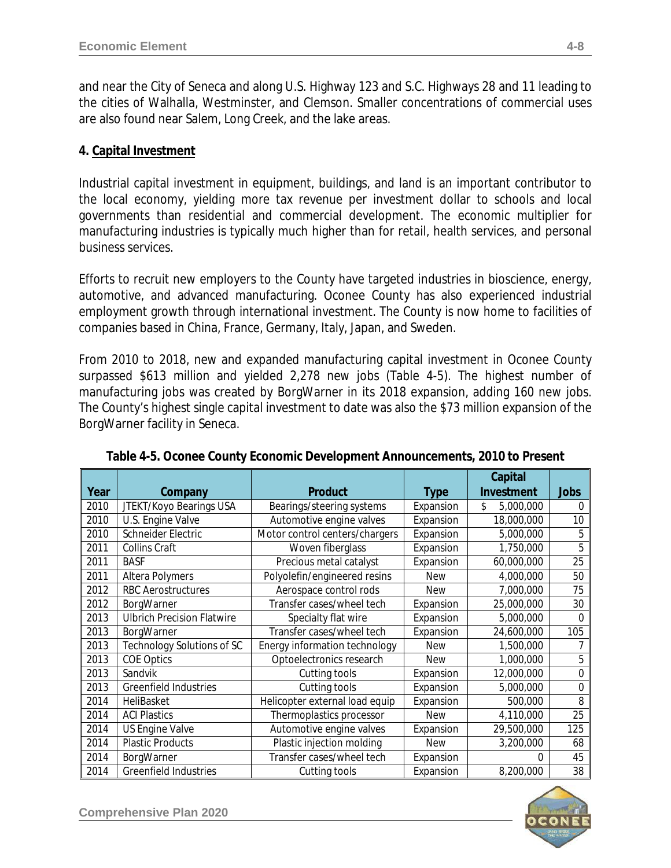and near the City of Seneca and along U.S. Highway 123 and S.C. Highways 28 and 11 leading to the cities of Walhalla, Westminster, and Clemson. Smaller concentrations of commercial uses are also found near Salem, Long Creek, and the lake areas.

### **4. Capital Investment**

Industrial capital investment in equipment, buildings, and land is an important contributor to the local economy, yielding more tax revenue per investment dollar to schools and local governments than residential and commercial development. The economic multiplier for manufacturing industries is typically much higher than for retail, health services, and personal business services.

Efforts to recruit new employers to the County have targeted industries in bioscience, energy, automotive, and advanced manufacturing. Oconee County has also experienced industrial employment growth through international investment. The County is now home to facilities of companies based in China, France, Germany, Italy, Japan, and Sweden.

From 2010 to 2018, new and expanded manufacturing capital investment in Oconee County surpassed \$613 million and yielded 2,278 new jobs (Table 4-5). The highest number of manufacturing jobs was created by BorgWarner in its 2018 expansion, adding 160 new jobs. The County's highest single capital investment to date was also the \$73 million expansion of the BorgWarner facility in Seneca.

|      |                                   |                                |             | Capital         |             |
|------|-----------------------------------|--------------------------------|-------------|-----------------|-------------|
| Year | Company                           | Product                        | <b>Type</b> | Investment      | <b>Jobs</b> |
| 2010 | JTEKT/Koyo Bearings USA           | Bearings/steering systems      | Expansion   | 5,000,000<br>\$ | 0           |
| 2010 | U.S. Engine Valve                 | Automotive engine valves       | Expansion   | 18,000,000      | 10          |
| 2010 | Schneider Electric                | Motor control centers/chargers | Expansion   | 5,000,000       | 5           |
| 2011 | <b>Collins Craft</b>              | Woven fiberglass               | Expansion   | 1,750,000       | 5           |
| 2011 | <b>BASF</b>                       | Precious metal catalyst        | Expansion   | 60,000,000      | 25          |
| 2011 | Altera Polymers                   | Polyolefin/engineered resins   | <b>New</b>  | 4,000,000       | 50          |
| 2012 | <b>RBC Aerostructures</b>         | Aerospace control rods         | <b>New</b>  | 7,000,000       | 75          |
| 2012 | BorgWarner                        | Transfer cases/wheel tech      | Expansion   | 25,000,000      | 30          |
| 2013 | <b>Ulbrich Precision Flatwire</b> | Specialty flat wire            | Expansion   | 5,000,000       | $\Omega$    |
| 2013 | BorgWarner                        | Transfer cases/wheel tech      | Expansion   | 24,600,000      | 105         |
| 2013 | Technology Solutions of SC        | Energy information technology  | <b>New</b>  | 1,500,000       |             |
| 2013 | <b>COE Optics</b>                 | Optoelectronics research       | <b>New</b>  | 1,000,000       | 5           |
| 2013 | Sandvik                           | Cutting tools                  | Expansion   | 12,000,000      | 0           |
| 2013 | <b>Greenfield Industries</b>      | Cutting tools                  | Expansion   | 5,000,000       | 0           |
| 2014 | HeliBasket                        | Helicopter external load equip | Expansion   | 500,000         | 8           |
| 2014 | <b>ACI Plastics</b>               | Thermoplastics processor       | <b>New</b>  | 4,110,000       | 25          |
| 2014 | <b>US Engine Valve</b>            | Automotive engine valves       | Expansion   | 29,500,000      | 125         |
| 2014 | <b>Plastic Products</b>           | Plastic injection molding      | <b>New</b>  | 3,200,000       | 68          |
| 2014 | BorgWarner                        | Transfer cases/wheel tech      | Expansion   | 0               | 45          |
| 2014 | <b>Greenfield Industries</b>      | Cutting tools                  | Expansion   | 8,200,000       | 38          |

**Table 4-5. Oconee County Economic Development Announcements, 2010 to Present**

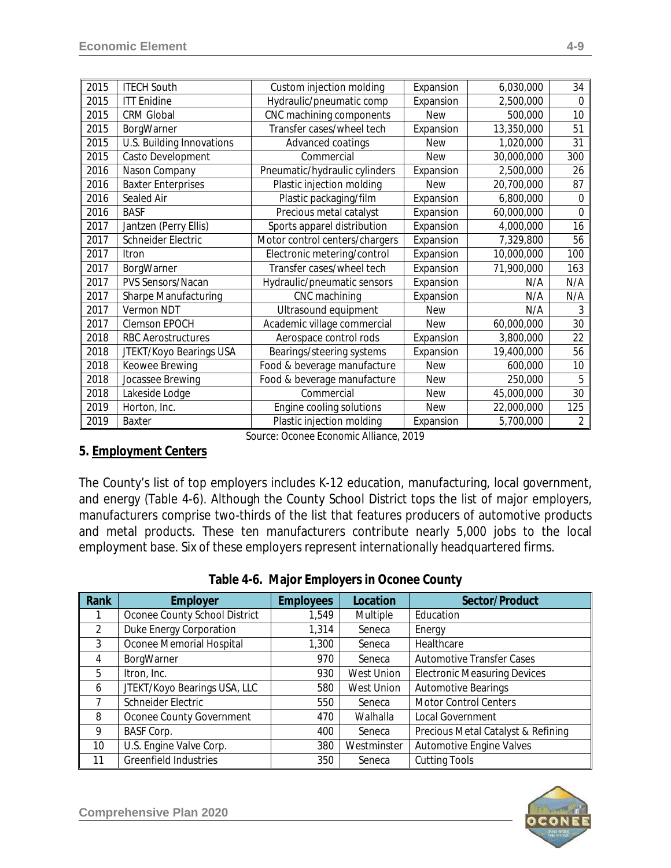| 2015 | <b>ITECH South</b>        | Custom injection molding       | Expansion  | 6,030,000  | 34             |
|------|---------------------------|--------------------------------|------------|------------|----------------|
| 2015 | <b>ITT Enidine</b>        | Hydraulic/pneumatic comp       | Expansion  | 2,500,000  | $\Omega$       |
| 2015 | <b>CRM Global</b>         | CNC machining components       | <b>New</b> | 500,000    | 10             |
| 2015 | BorgWarner                | Transfer cases/wheel tech      | Expansion  | 13,350,000 | 51             |
| 2015 | U.S. Building Innovations | Advanced coatings              | <b>New</b> | 1,020,000  | 31             |
| 2015 | Casto Development         | Commercial                     | <b>New</b> | 30,000,000 | 300            |
| 2016 | Nason Company             | Pneumatic/hydraulic cylinders  | Expansion  | 2,500,000  | 26             |
| 2016 | <b>Baxter Enterprises</b> | Plastic injection molding      | <b>New</b> | 20,700,000 | 87             |
| 2016 | Sealed Air                | Plastic packaging/film         | Expansion  | 6,800,000  | 0              |
| 2016 | <b>BASF</b>               | Precious metal catalyst        | Expansion  | 60,000,000 | 0              |
| 2017 | Jantzen (Perry Ellis)     | Sports apparel distribution    | Expansion  | 4,000,000  | 16             |
| 2017 | Schneider Electric        | Motor control centers/chargers | Expansion  | 7,329,800  | 56             |
| 2017 | Itron                     | Electronic metering/control    | Expansion  | 10,000,000 | 100            |
| 2017 | BorgWarner                | Transfer cases/wheel tech      | Expansion  | 71,900,000 | 163            |
| 2017 | PVS Sensors/Nacan         | Hydraulic/pneumatic sensors    | Expansion  | N/A        | N/A            |
| 2017 | Sharpe Manufacturing      | CNC machining                  | Expansion  | N/A        | N/A            |
| 2017 | Vermon NDT                | Ultrasound equipment           | <b>New</b> | N/A        | 3              |
| 2017 | Clemson EPOCH             | Academic village commercial    | <b>New</b> | 60,000,000 | 30             |
| 2018 | <b>RBC Aerostructures</b> | Aerospace control rods         | Expansion  | 3,800,000  | 22             |
| 2018 | JTEKT/Koyo Bearings USA   | Bearings/steering systems      | Expansion  | 19,400,000 | 56             |
| 2018 | Keowee Brewing            | Food & beverage manufacture    | <b>New</b> | 600,000    | 10             |
| 2018 | Jocassee Brewing          | Food & beverage manufacture    | <b>New</b> | 250,000    | 5              |
| 2018 | Lakeside Lodge            | Commercial                     | <b>New</b> | 45,000,000 | 30             |
| 2019 | Horton, Inc.              | Engine cooling solutions       | <b>New</b> | 22,000,000 | 125            |
| 2019 | Baxter                    | Plastic injection molding      | Expansion  | 5,700,000  | $\overline{2}$ |

#### *Source: Oconee Economic Alliance, 2019*

### **5. Employment Centers**

The County's list of top employers includes K-12 education, manufacturing, local government, and energy (Table 4-6). Although the County School District tops the list of major employers, manufacturers comprise two-thirds of the list that features producers of automotive products and metal products. These ten manufacturers contribute nearly 5,000 jobs to the local employment base. Six of these employers represent internationally headquartered firms.

|  |  | Table 4-6. Major Employers in Oconee County |  |  |
|--|--|---------------------------------------------|--|--|
|--|--|---------------------------------------------|--|--|

| Rank           | <b>Employer</b>               | <b>Employees</b> | Location    | Sector/Product                      |
|----------------|-------------------------------|------------------|-------------|-------------------------------------|
|                | Oconee County School District | 1,549            | Multiple    | Education                           |
| $\overline{2}$ | Duke Energy Corporation       | 1,314            | Seneca      | Energy                              |
| 3              | Oconee Memorial Hospital      | 1,300            | Seneca      | Healthcare                          |
| 4              | BorgWarner                    | 970              | Seneca      | <b>Automotive Transfer Cases</b>    |
| 5              | Itron, Inc.                   | 930              | West Union  | <b>Electronic Measuring Devices</b> |
| 6              | JTEKT/Koyo Bearings USA, LLC  | 580              | West Union  | <b>Automotive Bearings</b>          |
|                | Schneider Electric            | 550              | Seneca      | <b>Motor Control Centers</b>        |
| 8              | Oconee County Government      | 470              | Walhalla    | <b>Local Government</b>             |
| 9              | BASF Corp.                    | 400              | Seneca      | Precious Metal Catalyst & Refining  |
| 10             | U.S. Engine Valve Corp.       | 380              | Westminster | Automotive Engine Valves            |
| 11             | <b>Greenfield Industries</b>  | 350              | Seneca      | <b>Cutting Tools</b>                |

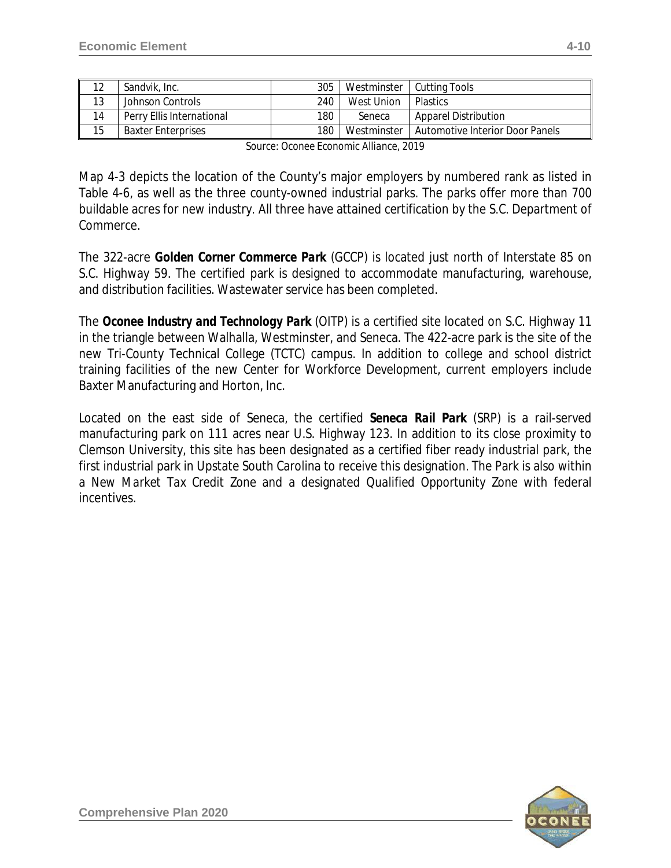| 12                                                                                               | Sandvik, Inc.             | 305 | Westminster   | Cutting Tools                   |
|--------------------------------------------------------------------------------------------------|---------------------------|-----|---------------|---------------------------------|
| 13                                                                                               | Johnson Controls          | 240 | West Union    | <b>Plastics</b>                 |
| 14                                                                                               | Perry Ellis International | 180 | Seneca        | Apparel Distribution            |
| 15                                                                                               | <b>Baxter Enterprises</b> | 180 | Westminster I | Automotive Interior Door Panels |
| $C_{21}$ , $C_{32}$ , $C_{43}$ , $C_{54}$ , $C_{64}$ , $C_{74}$ , $C_{84}$ , $C_{10}$ , $C_{11}$ |                           |     |               |                                 |

*Source: Oconee Economic Alliance, 2019* 

Map 4-3 depicts the location of the County's major employers by numbered rank as listed in Table 4-6, as well as the three county-owned industrial parks. The parks offer more than 700 buildable acres for new industry. All three have attained certification by the S.C. Department of Commerce.

The 322-acre *Golden Corner Commerce Park* (GCCP) is located just north of Interstate 85 on S.C. Highway 59. The certified park is designed to accommodate manufacturing, warehouse, and distribution facilities. Wastewater service has been completed.

The *Oconee Industry and Technology Park* (OITP) is a certified site located on S.C. Highway 11 in the triangle between Walhalla, Westminster, and Seneca. The 422-acre park is the site of the new Tri-County Technical College (TCTC) campus. In addition to college and school district training facilities of the new *Center for Workforce Development*, current employers include Baxter Manufacturing and Horton, Inc.

Located on the east side of Seneca, the certified *Seneca Rail Park* (SRP) is a rail-served manufacturing park on 111 acres near U.S. Highway 123. In addition to its close proximity to Clemson University, this site has been designated as a *certified fiber ready* industrial park, the first industrial park in Upstate South Carolina to receive this designation. The Park is also within a *New Market Tax Credit Zone* and a designated *Qualified Opportunity Zone* with federal incentives.

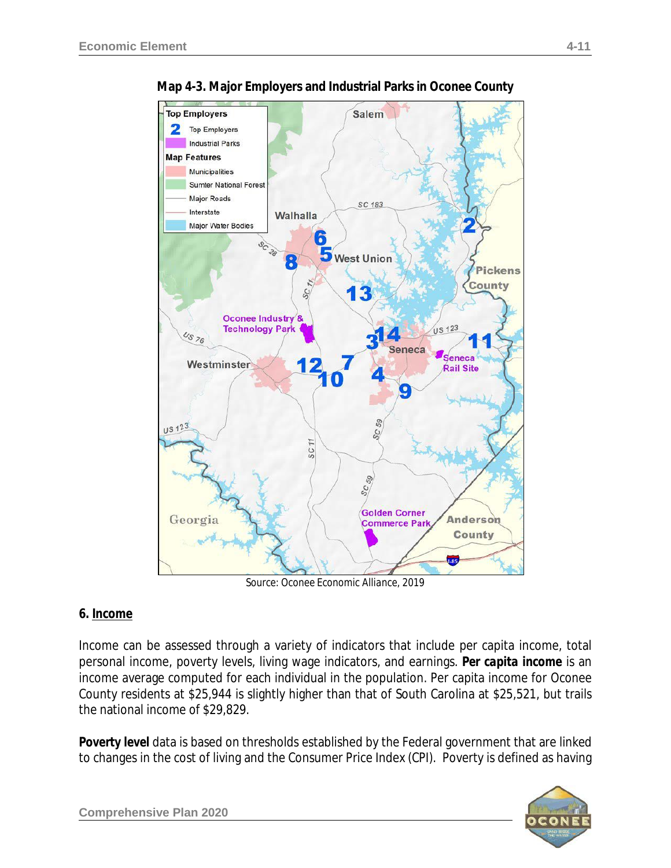

**Map 4-3. Major Employers and Industrial Parks in Oconee County**

*Source: Oconee Economic Alliance, 2019*

### **6. Income**

Income can be assessed through a variety of indicators that include per capita income, total personal income, poverty levels, living wage indicators, and earnings. *Per capita income* is an income average computed for each individual in the population. Per capita income for Oconee County residents at \$25,944 is slightly higher than that of South Carolina at \$25,521, but trails the national income of \$29,829.

*Poverty level* data is based on thresholds established by the Federal government that are linked to changes in the cost of living and the Consumer Price Index (CPI). Poverty is defined as having

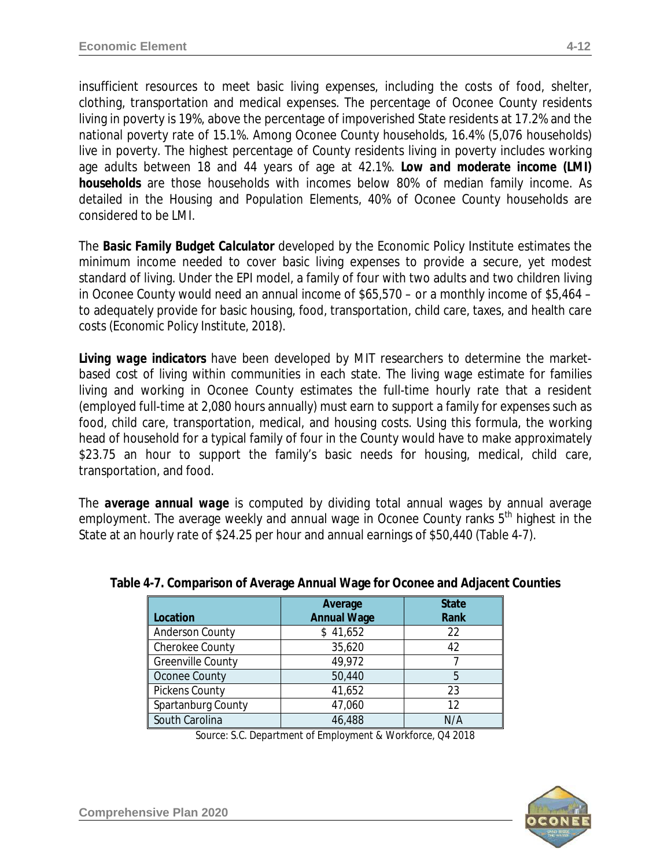insufficient resources to meet basic living expenses, including the costs of food, shelter, clothing, transportation and medical expenses. The percentage of Oconee County residents living in poverty is 19%, above the percentage of impoverished State residents at 17.2% and the national poverty rate of 15.1%. Among Oconee County households, 16.4% (5,076 households) live in poverty. The highest percentage of County residents living in poverty includes working age adults between 18 and 44 years of age at 42.1%. *Low and moderate income (LMI) households* are those households with incomes below 80% of median family income. As detailed in the *Housing* and *Population Elements*, 40% of Oconee County households are considered to be LMI.

The *Basic Family Budget Calculator* developed by the Economic Policy Institute estimates the minimum income needed to cover basic living expenses to provide a secure, yet modest standard of living. Under the EPI model, a family of four with two adults and two children living in Oconee County would need an annual income of \$65,570 – or a monthly income of \$5,464 – to adequately provide for basic housing, food, transportation, child care, taxes, and health care costs (*Economic Policy Institute, 2018*).

*Living wage indicators* have been developed by MIT researchers to determine the marketbased cost of living within communities in each state. The living wage estimate for families living and working in Oconee County estimates the full-time hourly rate that a resident (employed full-time at 2,080 hours annually) must earn to support a family for expenses such as food, child care, transportation, medical, and housing costs. Using this formula, the working head of household for a typical family of four in the County would have to make approximately \$23.75 an hour to support the family's basic needs for housing, medical, child care, transportation, and food.

The *average annual wage* is computed by dividing total annual wages by annual average employment. The average weekly and annual wage in Oconee County ranks 5<sup>th</sup> highest in the State at an hourly rate of \$24.25 per hour and annual earnings of \$50,440 (Table 4-7).

| Location               | Average<br><b>Annual Wage</b> | <b>State</b><br><b>Rank</b> |
|------------------------|-------------------------------|-----------------------------|
| <b>Anderson County</b> | \$41,652                      | 22                          |
| Cherokee County        | 35,620                        | 42                          |
| Greenville County      | 49,972                        |                             |
| Oconee County          | 50,440                        | 5                           |
| <b>Pickens County</b>  | 41,652                        | 23                          |
| Spartanburg County     | 47,060                        | 12                          |
| South Carolina         | 46,488                        | N/A                         |

#### **Table 4-7. Comparison of Average Annual Wage for Oconee and Adjacent Counties**

*Source: S.C. Department of Employment & Workforce, Q4 2018*

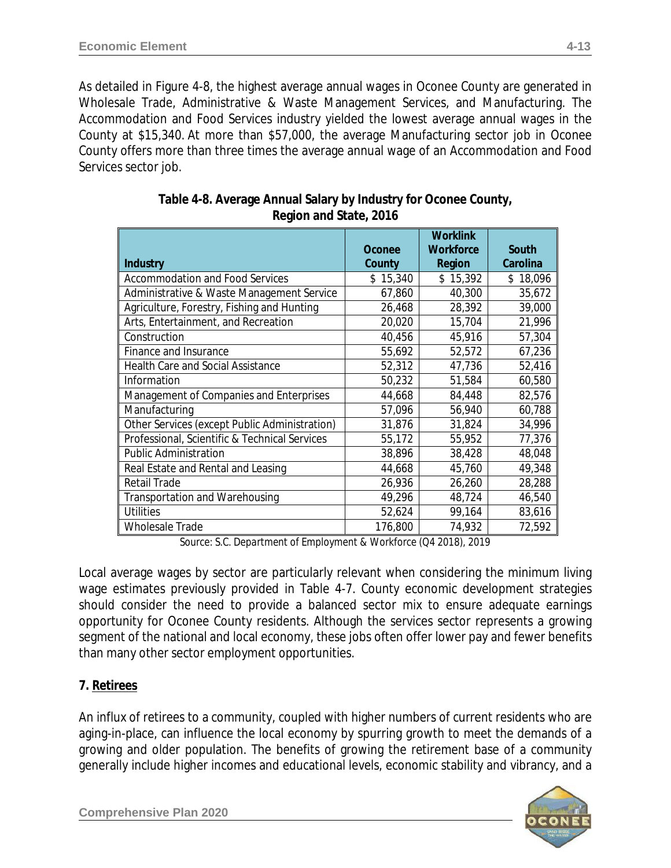As detailed in Figure 4-8, the highest average annual wages in Oconee County are generated in Wholesale Trade, Administrative & Waste Management Services, and Manufacturing. The Accommodation and Food Services industry yielded the lowest average annual wages in the County at \$15,340. At more than \$57,000, the average Manufacturing sector job in Oconee County offers more than three times the average annual wage of an Accommodation and Food Services sector job.

|                                               | Oconee   | <b>Worklink</b><br><b>Workforce</b> | South    |
|-----------------------------------------------|----------|-------------------------------------|----------|
| <b>Industry</b>                               | County   | Region                              | Carolina |
| <b>Accommodation and Food Services</b>        | \$15,340 | \$15,392                            | \$18,096 |
| Administrative & Waste Management Service     | 67,860   | 40,300                              | 35,672   |
| Agriculture, Forestry, Fishing and Hunting    | 26,468   | 28,392                              | 39,000   |
| Arts, Entertainment, and Recreation           | 20,020   | 15,704                              | 21,996   |
| Construction                                  | 40,456   | 45,916                              | 57,304   |
| Finance and Insurance                         | 55,692   | 52,572                              | 67,236   |
| <b>Health Care and Social Assistance</b>      | 52,312   | 47,736                              | 52,416   |
| Information                                   | 50,232   | 51,584                              | 60,580   |
| Management of Companies and Enterprises       | 44,668   | 84,448                              | 82,576   |
| Manufacturing                                 | 57,096   | 56,940                              | 60,788   |
| Other Services (except Public Administration) | 31,876   | 31,824                              | 34,996   |
| Professional, Scientific & Technical Services | 55,172   | 55,952                              | 77,376   |
| Public Administration                         | 38,896   | 38,428                              | 48,048   |
| Real Estate and Rental and Leasing            | 44,668   | 45,760                              | 49,348   |
| <b>Retail Trade</b>                           | 26,936   | 26,260                              | 28,288   |
| <b>Transportation and Warehousing</b>         | 49,296   | 48,724                              | 46,540   |
| <b>Utilities</b>                              | 52,624   | 99,164                              | 83,616   |
| Wholesale Trade                               | 176,800  | 74,932                              | 72,592   |

**Table 4-8. Average Annual Salary by Industry for Oconee County, Region and State, 2016**

*Source: S.C. Department of Employment & Workforce (Q4 2018), 2019*

Local average wages by sector are particularly relevant when considering the minimum living wage estimates previously provided in Table 4-7. County economic development strategies should consider the need to provide a balanced sector mix to ensure adequate earnings opportunity for Oconee County residents. Although the services sector represents a growing segment of the national and local economy, these jobs often offer lower pay and fewer benefits than many other sector employment opportunities.

### **7. Retirees**

An influx of retirees to a community, coupled with higher numbers of current residents who are aging-in-place, can influence the local economy by spurring growth to meet the demands of a growing and older population. The benefits of growing the retirement base of a community generally include higher incomes and educational levels, economic stability and vibrancy, and a

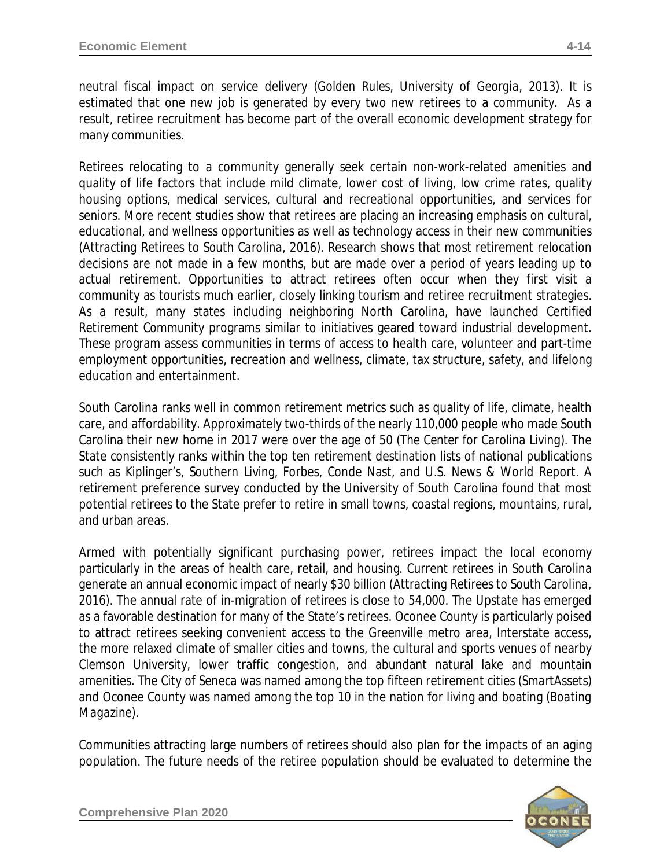neutral fiscal impact on service delivery (*Golden Rules, University of Georgia, 2013*). It is estimated that one new job is generated by every two new retirees to a community. As a result, retiree recruitment has become part of the overall economic development strategy for many communities.

Retirees relocating to a community generally seek certain non-work-related amenities and quality of life factors that include mild climate, lower cost of living, low crime rates, quality housing options, medical services, cultural and recreational opportunities, and services for seniors. More recent studies show that retirees are placing an increasing emphasis on cultural, educational, and wellness opportunities as well as technology access in their new communities (*Attracting Retirees to South Carolina, 2016*). Research shows that most retirement relocation decisions are not made in a few months, but are made over a period of years leading up to actual retirement. Opportunities to attract retirees often occur when they first visit a community as tourists much earlier, closely linking tourism and retiree recruitment strategies. As a result, many states including neighboring North Carolina, have launched *Certified Retirement Community* programs similar to initiatives geared toward industrial development. These program assess communities in terms of access to health care, volunteer and part-time employment opportunities, recreation and wellness, climate, tax structure, safety, and lifelong education and entertainment.

South Carolina ranks well in common retirement metrics such as quality of life, climate, health care, and affordability. Approximately two-thirds of the nearly 110,000 people who made South Carolina their new home in 2017 were over the age of 50 (*The Center for Carolina Living*). The State consistently ranks within the top ten retirement destination lists of national publications such as Kiplinger's, Southern Living, Forbes, Conde Nast, and U.S. News & World Report. A retirement preference survey conducted by the University of South Carolina found that most potential retirees to the State prefer to retire in small towns, coastal regions, mountains, rural, and urban areas.

Armed with potentially significant purchasing power, retirees impact the local economy particularly in the areas of health care, retail, and housing. Current retirees in South Carolina generate an annual economic impact of nearly \$30 billion (*Attracting Retirees to South Carolina, 2016*). The annual rate of in-migration of retirees is close to 54,000. The Upstate has emerged as a favorable destination for many of the State's retirees. Oconee County is particularly poised to attract retirees seeking convenient access to the Greenville metro area, Interstate access, the more relaxed climate of smaller cities and towns, the cultural and sports venues of nearby Clemson University, lower traffic congestion, and abundant natural lake and mountain amenities. The City of Seneca was named among the top fifteen retirement cities (*SmartAssets*) and Oconee County was named among the top 10 in the nation for living and boating (*Boating Magazine*).

Communities attracting large numbers of retirees should also plan for the impacts of an aging population. The future needs of the retiree population should be evaluated to determine the

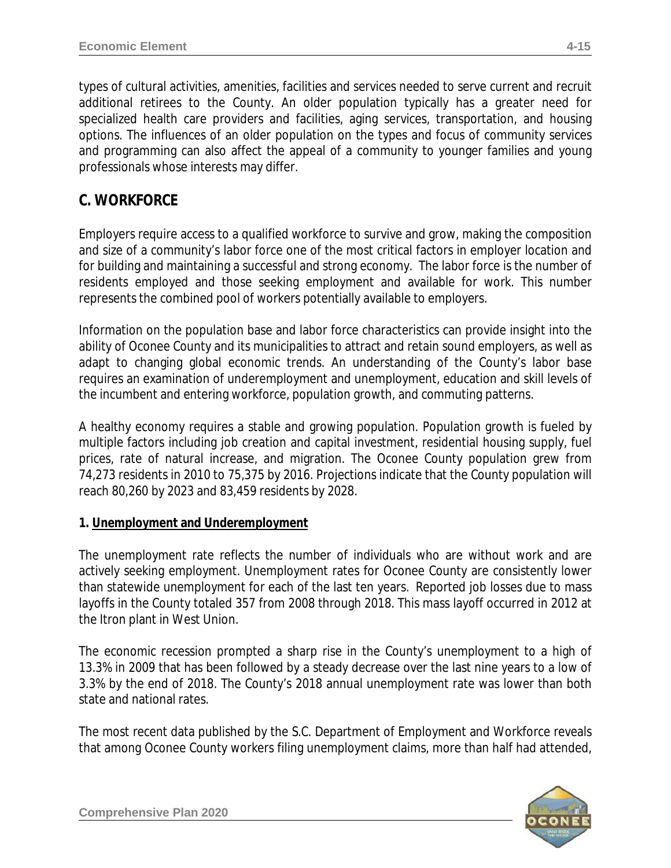types of cultural activities, amenities, facilities and services needed to serve current and recruit additional retirees to the County. An older population typically has a greater need for specialized health care providers and facilities, aging services, transportation, and housing options. The influences of an older population on the types and focus of community services and programming can also affect the appeal of a community to younger families and young professionals whose interests may differ.

### **C. WORKFORCE**

Employers require access to a qualified workforce to survive and grow, making the composition and size of a community's labor force one of the most critical factors in employer location and for building and maintaining a successful and strong economy. The labor force is the number of residents employed and those seeking employment and available for work. This number represents the combined pool of workers potentially available to employers.

Information on the population base and labor force characteristics can provide insight into the ability of Oconee County and its municipalities to attract and retain sound employers, as well as adapt to changing global economic trends. An understanding of the County's labor base requires an examination of underemployment and unemployment, education and skill levels of the incumbent and entering workforce, population growth, and commuting patterns.

A healthy economy requires a stable and growing population. Population growth is fueled by multiple factors including job creation and capital investment, residential housing supply, fuel prices, rate of natural increase, and migration. The Oconee County population grew from 74,273 residents in 2010 to 75,375 by 2016. Projections indicate that the County population will reach 80,260 by 2023 and 83,459 residents by 2028.

### **1. Unemployment and Underemployment**

The unemployment rate reflects the number of individuals who are without work and are actively seeking employment. Unemployment rates for Oconee County are consistently lower than statewide unemployment for each of the last ten years. Reported job losses due to mass layoffs in the County totaled 357 from 2008 through 2018. This mass layoff occurred in 2012 at the Itron plant in West Union.

The economic recession prompted a sharp rise in the County's unemployment to a high of 13.3% in 2009 that has been followed by a steady decrease over the last nine years to a low of 3.3% by the end of 2018. The County's 2018 annual unemployment rate was lower than both state and national rates.

The most recent data published by the S.C. Department of Employment and Workforce reveals that among Oconee County workers filing unemployment claims, more than half had attended,

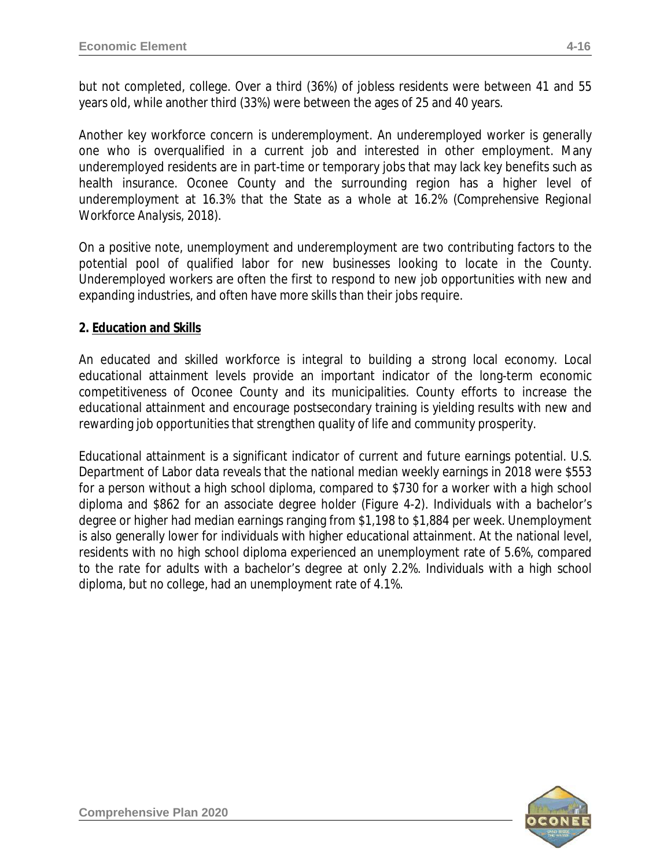but not completed, college. Over a third (36%) of jobless residents were between 41 and 55 years old, while another third (33%) were between the ages of 25 and 40 years.

Another key workforce concern is *underemployment*. An underemployed worker is generally one who is overqualified in a current job and interested in other employment. Many underemployed residents are in part-time or temporary jobs that may lack key benefits such as health insurance. Oconee County and the surrounding region has a higher level of underemployment at 16.3% that the State as a whole at 16.2% (*Comprehensive Regional Workforce Analysis, 2018*).

On a positive note, unemployment and underemployment are two contributing factors to the potential pool of qualified labor for new businesses looking to locate in the County. Underemployed workers are often the first to respond to new job opportunities with new and expanding industries, and often have more skills than their jobs require.

### **2. Education and Skills**

An educated and skilled workforce is integral to building a strong local economy. Local educational attainment levels provide an important indicator of the long-term economic competitiveness of Oconee County and its municipalities. County efforts to increase the educational attainment and encourage postsecondary training is yielding results with new and rewarding job opportunities that strengthen quality of life and community prosperity.

Educational attainment is a significant indicator of current and future earnings potential. U.S. Department of Labor data reveals that the national median weekly earnings in 2018 were \$553 for a person without a high school diploma, compared to \$730 for a worker with a high school diploma and \$862 for an associate degree holder (Figure 4-2). Individuals with a bachelor's degree or higher had median earnings ranging from \$1,198 to \$1,884 per week. Unemployment is also generally lower for individuals with higher educational attainment. At the national level, residents with no high school diploma experienced an unemployment rate of 5.6%, compared to the rate for adults with a bachelor's degree at only 2.2%. Individuals with a high school diploma, but no college, had an unemployment rate of 4.1%.

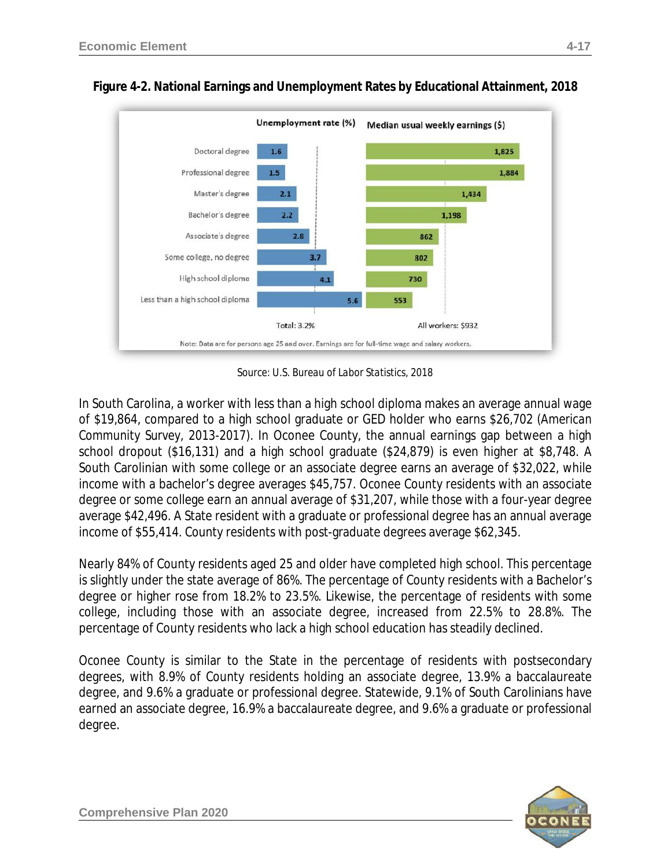



*Source: U.S. Bureau of Labor Statistics, 2018*

In South Carolina, a worker with less than a high school diploma makes an average annual wage of \$19,864, compared to a high school graduate or GED holder who earns \$26,702 *(American Community Survey, 2013-2017*). In Oconee County, the annual earnings gap between a high school dropout (\$16,131) and a high school graduate (\$24,879) is even higher at \$8,748. A South Carolinian with some college or an associate degree earns an average of \$32,022, while income with a bachelor's degree averages \$45,757. Oconee County residents with an associate degree or some college earn an annual average of \$31,207, while those with a four-year degree average \$42,496. A State resident with a graduate or professional degree has an annual average income of \$55,414. County residents with post-graduate degrees average \$62,345.

Nearly 84% of County residents aged 25 and older have completed high school. This percentage is slightly under the state average of 86%. The percentage of County residents with a Bachelor's degree or higher rose from 18.2% to 23.5%. Likewise, the percentage of residents with some college, including those with an associate degree, increased from 22.5% to 28.8%. The percentage of County residents who lack a high school education has steadily declined.

Oconee County is similar to the State in the percentage of residents with postsecondary degrees, with 8.9% of County residents holding an associate degree, 13.9% a baccalaureate degree, and 9.6% a graduate or professional degree. Statewide, 9.1% of South Carolinians have earned an associate degree, 16.9% a baccalaureate degree, and 9.6% a graduate or professional degree.

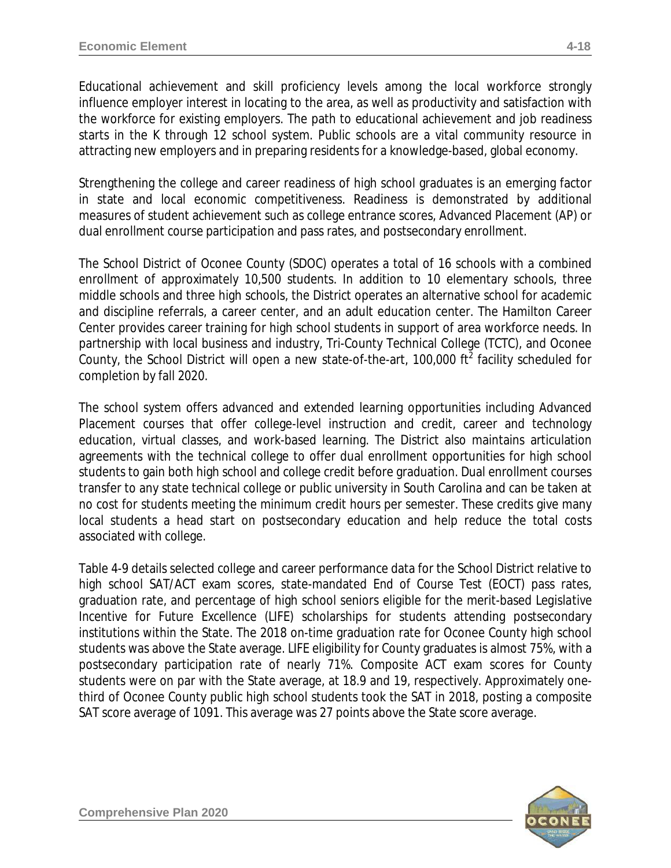Educational achievement and skill proficiency levels among the local workforce strongly influence employer interest in locating to the area, as well as productivity and satisfaction with the workforce for existing employers. The path to educational achievement and job readiness starts in the K through 12 school system. Public schools are a vital community resource in attracting new employers and in preparing residents for a knowledge-based, global economy.

Strengthening the college and career readiness of high school graduates is an emerging factor in state and local economic competitiveness. Readiness is demonstrated by additional measures of student achievement such as college entrance scores, Advanced Placement (AP) or dual enrollment course participation and pass rates, and postsecondary enrollment.

The School District of Oconee County (SDOC) operates a total of 16 schools with a combined enrollment of approximately 10,500 students. In addition to 10 elementary schools, three middle schools and three high schools, the District operates an alternative school for academic and discipline referrals, a career center, and an adult education center. The Hamilton Career Center provides career training for high school students in support of area workforce needs. In partnership with local business and industry, Tri-County Technical College (TCTC), and Oconee County, the School District will open a new state-of-the-art, 100,000  $\text{ft}^2$  facility scheduled for completion by fall 2020.

The school system offers advanced and extended learning opportunities including Advanced Placement courses that offer college-level instruction and credit, career and technology education, virtual classes, and work-based learning. The District also maintains articulation agreements with the technical college to offer dual enrollment opportunities for high school students to gain both high school and college credit before graduation. Dual enrollment courses transfer to any state technical college or public university in South Carolina and can be taken at no cost for students meeting the minimum credit hours per semester. These credits give many local students a head start on postsecondary education and help reduce the total costs associated with college.

Table 4-9 details selected college and career performance data for the School District relative to high school SAT/ACT exam scores, state-mandated *End of Course Test* (EOCT) pass rates, graduation rate, and percentage of high school seniors eligible for the merit-based *Legislative Incentive for Future Excellence* (LIFE) scholarships for students attending postsecondary institutions within the State. The 2018 on-time graduation rate for Oconee County high school students was above the State average. LIFE eligibility for County graduates is almost 75%, with a postsecondary participation rate of nearly 71%. Composite ACT exam scores for County students were on par with the State average, at 18.9 and 19, respectively. Approximately onethird of Oconee County public high school students took the SAT in 2018, posting a composite SAT score average of 1091. This average was 27 points above the State score average.

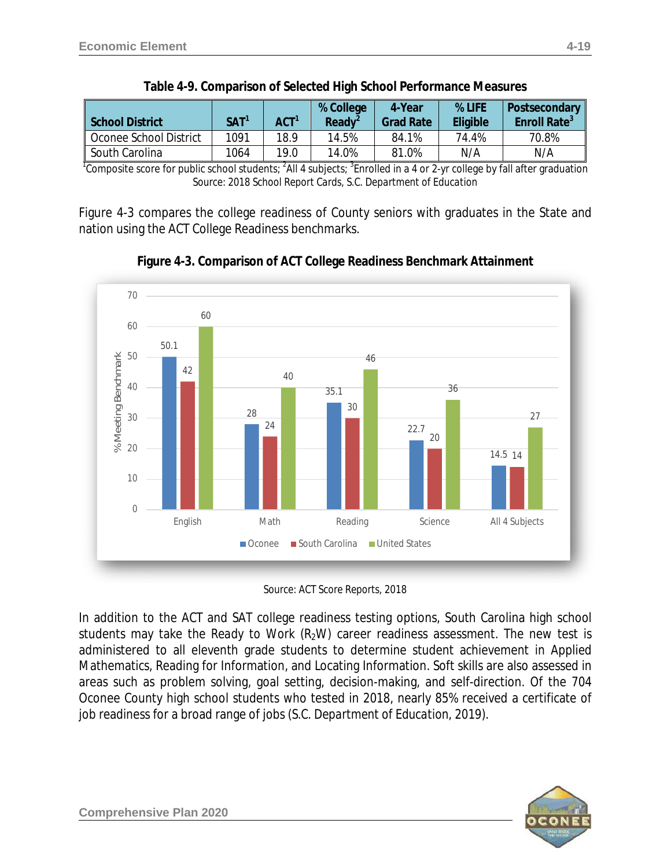| School District        | SAT <sup>1</sup> | ACT <sup>1</sup> | % College<br>Readv <sup>2</sup> | 4-Year<br><b>Grad Rate</b> | % LIFE<br>Eligible | Postsecondary<br>Enroll Rate <sup>3</sup> |
|------------------------|------------------|------------------|---------------------------------|----------------------------|--------------------|-------------------------------------------|
| Oconee School District | 1091             | 18.9             | 14.5%                           | 84.1%                      | 74.4%              | 70.8%                                     |
| South Carolina         | 1064             | 19.0             | 14.0%                           | 81.0%                      | N/A                | N/A                                       |

<sup>1</sup>Composite score for public school students; <sup>2</sup>All 4 subjects; <sup>3</sup>Enrolled in a 4 or 2-yr college by fall after graduation *Source: 2018 School Report Cards, S.C. Department of Education*

Figure 4-3 compares the college readiness of County seniors with graduates in the State and nation using the ACT College Readiness benchmarks.



**Figure 4-3. Comparison of ACT College Readiness Benchmark Attainment** 

*Source: ACT Score Reports, 2018*

In addition to the ACT and SAT college readiness testing options, South Carolina high school students may take the *Ready to Work* (R<sub>2</sub>W) career readiness assessment. The new test is administered to all eleventh grade students to determine student achievement in Applied Mathematics, Reading for Information, and Locating Information. Soft skills are also assessed in areas such as problem solving, goal setting, decision-making, and self-direction. Of the 704 Oconee County high school students who tested in 2018, nearly 85% received a certificate of job readiness for a broad range of jobs (*S.C. Department of Education, 2019*).

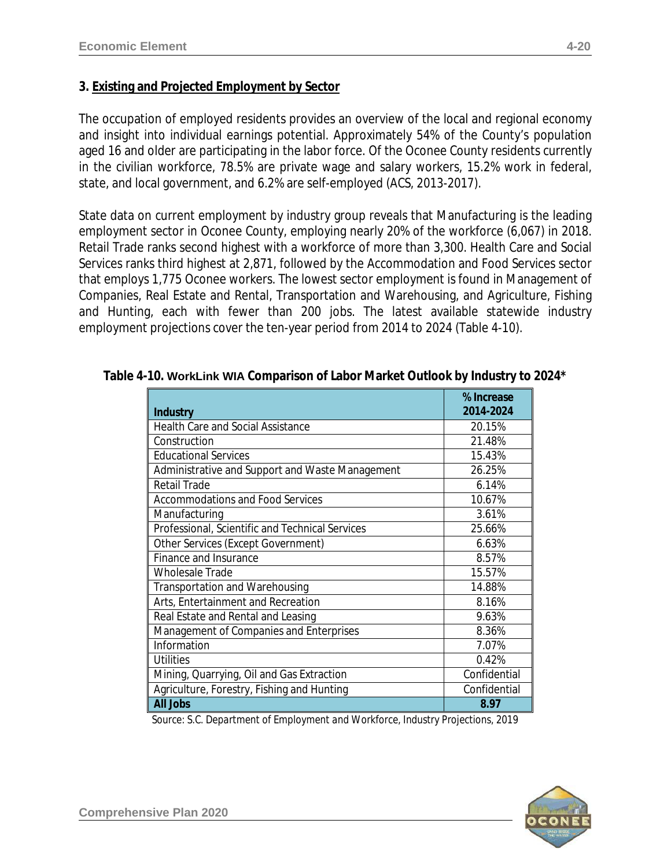### **3. Existing and Projected Employment by Sector**

The occupation of employed residents provides an overview of the local and regional economy and insight into individual earnings potential. Approximately 54% of the County's population aged 16 and older are participating in the labor force. Of the Oconee County residents currently in the civilian workforce, 78.5% are private wage and salary workers, 15.2% work in federal, state, and local government, and 6.2% are self-employed (*ACS, 2013-2017*).

State data on current employment by industry group reveals that Manufacturing is the leading employment sector in Oconee County, employing nearly 20% of the workforce (6,067) in 2018. Retail Trade ranks second highest with a workforce of more than 3,300. Health Care and Social Services ranks third highest at 2,871, followed by the Accommodation and Food Services sector that employs 1,775 Oconee workers. The lowest sector employment is found in Management of Companies, Real Estate and Rental, Transportation and Warehousing, and Agriculture, Fishing and Hunting, each with fewer than 200 jobs. The latest available statewide industry employment projections cover the ten-year period from 2014 to 2024 (Table 4-10).

| Industry                                        | % Increase<br>2014-2024 |
|-------------------------------------------------|-------------------------|
| <b>Health Care and Social Assistance</b>        | 20.15%                  |
| Construction                                    | 21.48%                  |
| <b>Educational Services</b>                     | 15.43%                  |
| Administrative and Support and Waste Management | 26.25%                  |
| <b>Retail Trade</b>                             | 6.14%                   |
| <b>Accommodations and Food Services</b>         | 10.67%                  |
| Manufacturing                                   | 3.61%                   |
| Professional, Scientific and Technical Services | 25.66%                  |
| <b>Other Services (Except Government)</b>       | 6.63%                   |
| Finance and Insurance                           | 8.57%                   |
| Wholesale Trade                                 | 15.57%                  |
| Transportation and Warehousing                  | 14.88%                  |
| Arts, Entertainment and Recreation              | 8.16%                   |
| Real Estate and Rental and Leasing              | 9.63%                   |
| Management of Companies and Enterprises         | 8.36%                   |
| Information                                     | 7.07%                   |
| Utilities                                       | 0.42%                   |
| Mining, Quarrying, Oil and Gas Extraction       | Confidential            |
| Agriculture, Forestry, Fishing and Hunting      | Confidential            |
| <b>All Jobs</b>                                 | 8.97                    |

**Table 4-10. WorkLink WIA Comparison of Labor Market Outlook by Industry to 2024\***

*Source: S.C. Department of Employment and Workforce, Industry Projections, 2019*

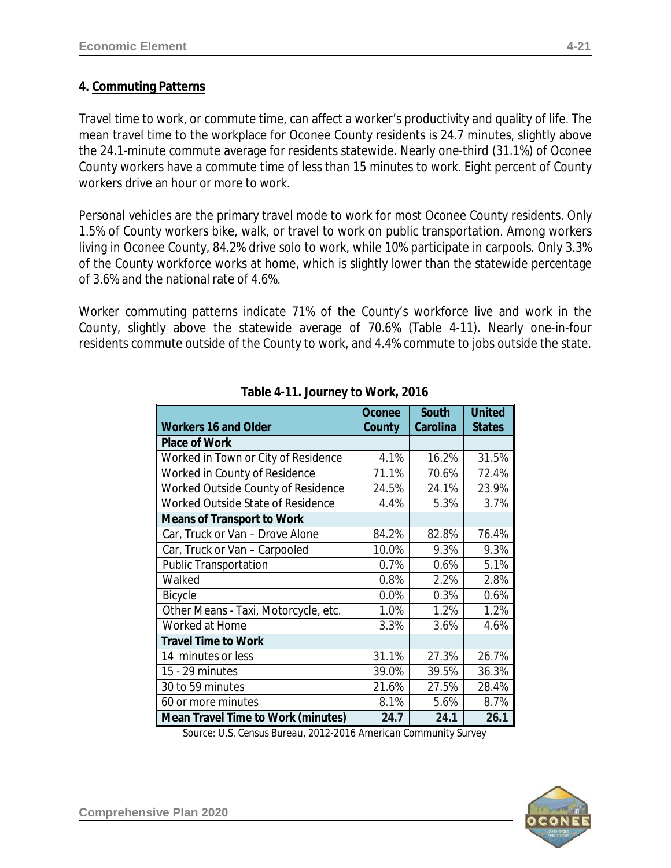### **4. Commuting Patterns**

Travel time to work, or commute time, can affect a worker's productivity and quality of life. The mean travel time to the workplace for Oconee County residents is 24.7 minutes, slightly above the 24.1-minute commute average for residents statewide. Nearly one-third (31.1%) of Oconee County workers have a commute time of less than 15 minutes to work. Eight percent of County workers drive an hour or more to work.

Personal vehicles are the primary travel mode to work for most Oconee County residents. Only 1.5% of County workers bike, walk, or travel to work on public transportation. Among workers living in Oconee County, 84.2% drive solo to work, while 10% participate in carpools. Only 3.3% of the County workforce works at home, which is slightly lower than the statewide percentage of 3.6% and the national rate of 4.6%.

Worker commuting patterns indicate 71% of the County's workforce live and work in the County, slightly above the statewide average of 70.6% (Table 4-11). Nearly one-in-four residents commute outside of the County to work, and 4.4% commute to jobs outside the state.

|                                           | Oconee | South    | <b>United</b> |
|-------------------------------------------|--------|----------|---------------|
| <b>Workers 16 and Older</b>               | County | Carolina | <b>States</b> |
| <b>Place of Work</b>                      |        |          |               |
| Worked in Town or City of Residence       | 4.1%   | 16.2%    | 31.5%         |
| Worked in County of Residence             | 71.1%  | 70.6%    | 72.4%         |
| Worked Outside County of Residence        | 24.5%  | 24.1%    | 23.9%         |
| Worked Outside State of Residence         | 4.4%   | 5.3%     | 3.7%          |
| <b>Means of Transport to Work</b>         |        |          |               |
| Car, Truck or Van - Drove Alone           | 84.2%  | 82.8%    | 76.4%         |
| Car, Truck or Van - Carpooled             | 10.0%  | 9.3%     | 9.3%          |
| <b>Public Transportation</b>              | 0.7%   | 0.6%     | 5.1%          |
| Walked                                    | 0.8%   | 2.2%     | 2.8%          |
| <b>Bicycle</b>                            | 0.0%   | 0.3%     | 0.6%          |
| Other Means - Taxi, Motorcycle, etc.      | 1.0%   | 1.2%     | 1.2%          |
| Worked at Home                            | 3.3%   | 3.6%     | 4.6%          |
| <b>Travel Time to Work</b>                |        |          |               |
| 14 minutes or less                        | 31.1%  | 27.3%    | 26.7%         |
| 15 - 29 minutes                           | 39.0%  | 39.5%    | 36.3%         |
| 30 to 59 minutes                          | 21.6%  | 27.5%    | 28.4%         |
| 60 or more minutes                        | 8.1%   | 5.6%     | 8.7%          |
| <b>Mean Travel Time to Work (minutes)</b> | 24.7   | 24.1     | 26.1          |

### **Table 4-11. Journey to Work, 2016**

*Source: U.S. Census Bureau, 2012-2016 American Community Survey*

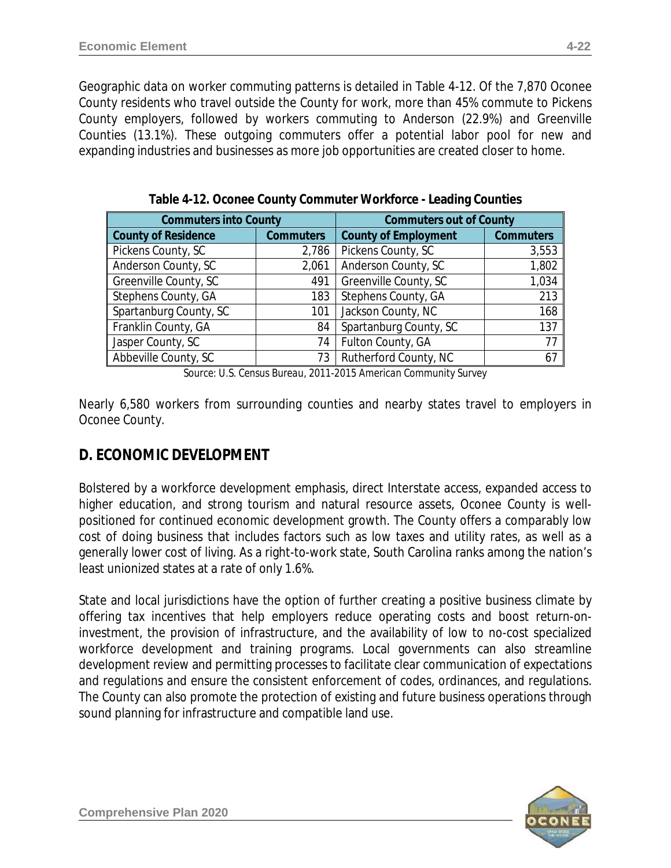Geographic data on worker commuting patterns is detailed in Table 4-12. Of the 7,870 Oconee County residents who travel outside the County for work, more than 45% commute to Pickens County employers, followed by workers commuting to Anderson (22.9%) and Greenville Counties (13.1%). These outgoing commuters offer a potential labor pool for new and expanding industries and businesses as more job opportunities are created closer to home.

| <b>Commuters into County</b> |                  | <b>Commuters out of County</b> |                  |  |
|------------------------------|------------------|--------------------------------|------------------|--|
| <b>County of Residence</b>   | <b>Commuters</b> | <b>County of Employment</b>    | <b>Commuters</b> |  |
| Pickens County, SC           | 2,786            | Pickens County, SC             | 3,553            |  |
| Anderson County, SC          | 2,061            | Anderson County, SC            | 1,802            |  |
| Greenville County, SC        | 491              | Greenville County, SC          | 1,034            |  |
| Stephens County, GA          | 183              | Stephens County, GA            | 213              |  |
| Spartanburg County, SC       | 101              | Jackson County, NC             | 168              |  |
| Franklin County, GA          | 84               | Spartanburg County, SC         | 137              |  |
| Jasper County, SC            | 74               | Fulton County, GA              | 77               |  |
| Abbeville County, SC         | 73               | Rutherford County, NC          | 67               |  |

**Table 4-12. Oconee County Commuter Workforce - Leading Counties**

*Source: U.S. Census Bureau, 2011-2015 American Community Survey*

Nearly 6,580 workers from surrounding counties and nearby states travel to employers in Oconee County.

### **D. ECONOMIC DEVELOPMENT**

Bolstered by a workforce development emphasis, direct Interstate access, expanded access to higher education, and strong tourism and natural resource assets, Oconee County is wellpositioned for continued economic development growth. The County offers a comparably low cost of doing business that includes factors such as low taxes and utility rates, as well as a generally lower cost of living. As a right-to-work state, South Carolina ranks among the nation's least unionized states at a rate of only 1.6%.

State and local jurisdictions have the option of further creating a positive business climate by offering tax incentives that help employers reduce operating costs and boost return-oninvestment, the provision of infrastructure, and the availability of low to no-cost specialized workforce development and training programs. Local governments can also streamline development review and permitting processes to facilitate clear communication of expectations and regulations and ensure the consistent enforcement of codes, ordinances, and regulations. The County can also promote the protection of existing and future business operations through sound planning for infrastructure and compatible land use.

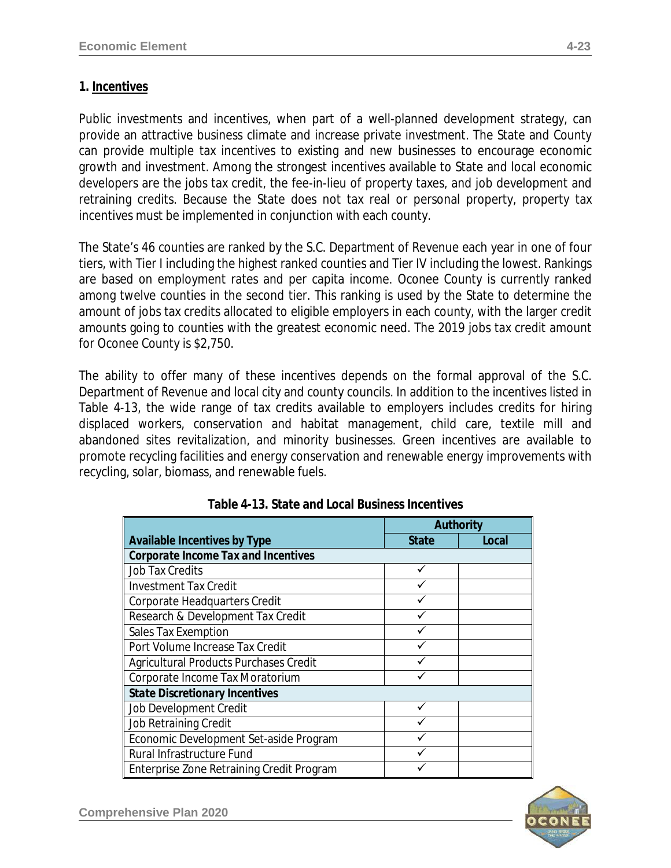### **1. Incentives**

Public investments and incentives, when part of a well-planned development strategy, can provide an attractive business climate and increase private investment. The State and County can provide multiple tax incentives to existing and new businesses to encourage economic growth and investment. Among the strongest incentives available to State and local economic developers are the jobs tax credit, the fee-in-lieu of property taxes, and job development and retraining credits. Because the State does not tax real or personal property, property tax incentives must be implemented in conjunction with each county.

The State's 46 counties are ranked by the S.C. Department of Revenue each year in one of four tiers, with Tier I including the highest ranked counties and Tier IV including the lowest. Rankings are based on employment rates and per capita income. Oconee County is currently ranked among twelve counties in the second tier. This ranking is used by the State to determine the amount of jobs tax credits allocated to eligible employers in each county, with the larger credit amounts going to counties with the greatest economic need. The 2019 jobs tax credit amount for Oconee County is \$2,750.

The ability to offer many of these incentives depends on the formal approval of the S.C. Department of Revenue and local city and county councils. In addition to the incentives listed in Table 4-13, the wide range of tax credits available to employers includes credits for hiring displaced workers, conservation and habitat management, child care, textile mill and abandoned sites revitalization, and minority businesses. Green incentives are available to promote recycling facilities and energy conservation and renewable energy improvements with recycling, solar, biomass, and renewable fuels.

| Authority                                  |              |       |
|--------------------------------------------|--------------|-------|
| <b>Available Incentives by Type</b>        | <b>State</b> | Local |
| <b>Corporate Income Tax and Incentives</b> |              |       |
| <b>Job Tax Credits</b>                     |              |       |
| <b>Investment Tax Credit</b>               |              |       |
| Corporate Headquarters Credit              |              |       |
| Research & Development Tax Credit          |              |       |
| Sales Tax Exemption                        |              |       |
| Port Volume Increase Tax Credit            |              |       |
| Agricultural Products Purchases Credit     |              |       |
| Corporate Income Tax Moratorium            |              |       |
| <b>State Discretionary Incentives</b>      |              |       |
| Job Development Credit                     |              |       |
| Job Retraining Credit                      |              |       |
| Economic Development Set-aside Program     |              |       |
| Rural Infrastructure Fund                  |              |       |
| Enterprise Zone Retraining Credit Program  |              |       |

### **Table 4-13. State and Local Business Incentives**

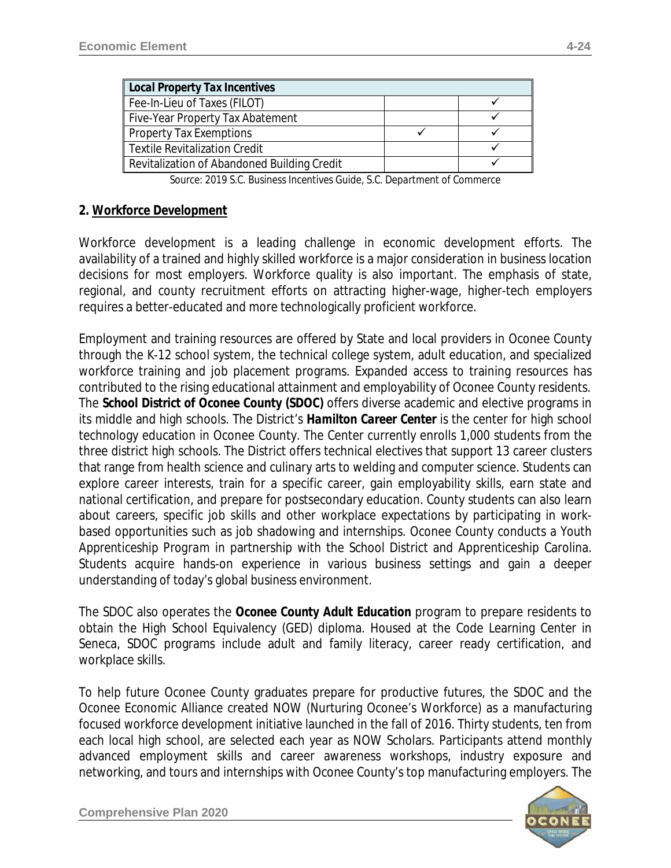| <b>Local Property Tax Incentives</b>        |  |
|---------------------------------------------|--|
| Fee-In-Lieu of Taxes (FILOT)                |  |
| Five-Year Property Tax Abatement            |  |
| <b>Property Tax Exemptions</b>              |  |
| <b>Textile Revitalization Credit</b>        |  |
| Revitalization of Abandoned Building Credit |  |

*Source: 2019 S.C. Business Incentives Guide, S.C. Department of Commerce*

#### **2. Workforce Development**

Workforce development is a leading challenge in economic development efforts. The availability of a trained and highly skilled workforce is a major consideration in business location decisions for most employers. Workforce quality is also important. The emphasis of state, regional, and county recruitment efforts on attracting higher-wage, higher-tech employers requires a better-educated and more technologically proficient workforce.

Employment and training resources are offered by State and local providers in Oconee County through the K-12 school system, the technical college system, adult education, and specialized workforce training and job placement programs. Expanded access to training resources has contributed to the rising educational attainment and employability of Oconee County residents. The *School District of Oconee County (SDOC)* offers diverse academic and elective programs in its middle and high schools. The District's *Hamilton Career Center* is the center for high school technology education in Oconee County. The Center currently enrolls 1,000 students from the three district high schools. The District offers technical electives that support 13 career clusters that range from health science and culinary arts to welding and computer science. Students can explore career interests, train for a specific career, gain employability skills, earn state and national certification, and prepare for postsecondary education. County students can also learn about careers, specific job skills and other workplace expectations by participating in workbased opportunities such as job shadowing and internships. Oconee County conducts a *Youth Apprenticeship Program* in partnership with the School District and Apprenticeship Carolina. Students acquire hands-on experience in various business settings and gain a deeper understanding of today's global business environment.

The SDOC also operates the *Oconee County Adult Education* program to prepare residents to obtain the High School Equivalency (GED) diploma. Housed at the Code Learning Center in Seneca, SDOC programs include adult and family literacy, career ready certification, and workplace skills.

To help future Oconee County graduates prepare for productive futures, the SDOC and the Oconee Economic Alliance created NOW (Nurturing Oconee's Workforce) as a manufacturing focused workforce development initiative launched in the fall of 2016. Thirty students, ten from each local high school, are selected each year as NOW Scholars. Participants attend monthly advanced employment skills and career awareness workshops, industry exposure and networking, and tours and internships with Oconee County's top manufacturing employers. The

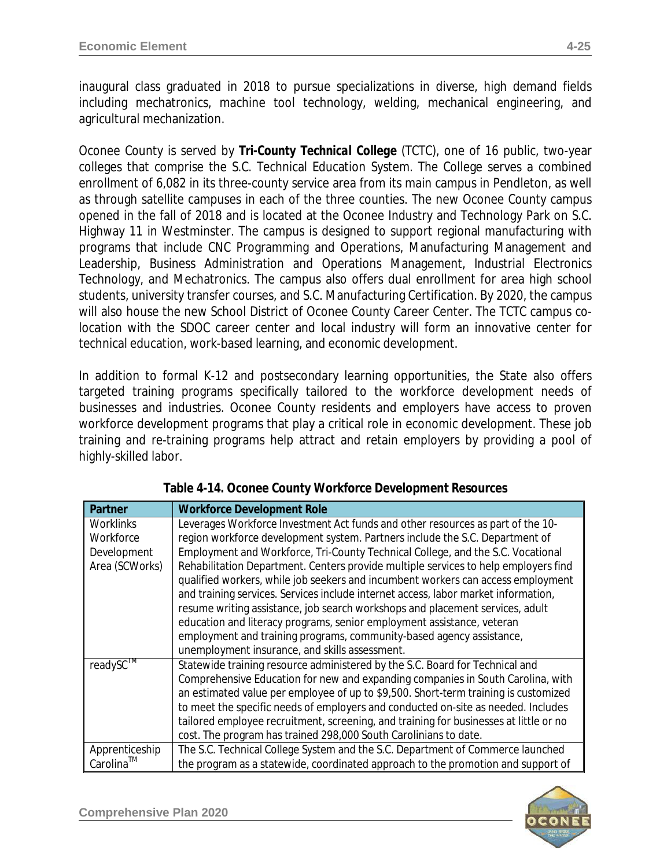inaugural class graduated in 2018 to pursue specializations in diverse, high demand fields including mechatronics, machine tool technology, welding, mechanical engineering, and agricultural mechanization.

Oconee County is served by *Tri-County Technical College* (TCTC), one of 16 public, two-year colleges that comprise the S.C. Technical Education System. The College serves a combined enrollment of 6,082 in its three-county service area from its main campus in Pendleton, as well as through satellite campuses in each of the three counties. The new Oconee County campus opened in the fall of 2018 and is located at the Oconee Industry and Technology Park on S.C. Highway 11 in Westminster. The campus is designed to support regional manufacturing with programs that include CNC Programming and Operations, Manufacturing Management and Leadership, Business Administration and Operations Management, Industrial Electronics Technology, and Mechatronics. The campus also offers dual enrollment for area high school students, university transfer courses, and S.C. Manufacturing Certification. By 2020, the campus will also house the new School District of Oconee County Career Center. The TCTC campus colocation with the SDOC career center and local industry will form an innovative center for technical education, work-based learning, and economic development.

In addition to formal K-12 and postsecondary learning opportunities, the State also offers targeted training programs specifically tailored to the workforce development needs of businesses and industries. Oconee County residents and employers have access to proven workforce development programs that play a critical role in economic development. These job training and re-training programs help attract and retain employers by providing a pool of highly-skilled labor.

| Partner              | <b>Workforce Development Role</b>                                                     |
|----------------------|---------------------------------------------------------------------------------------|
| <b>Worklinks</b>     | Leverages Workforce Investment Act funds and other resources as part of the 10-       |
| Workforce            | region workforce development system. Partners include the S.C. Department of          |
| Development          | Employment and Workforce, Tri-County Technical College, and the S.C. Vocational       |
| Area (SCWorks)       | Rehabilitation Department. Centers provide multiple services to help employers find   |
|                      | qualified workers, while job seekers and incumbent workers can access employment      |
|                      | and training services. Services include internet access, labor market information,    |
|                      | resume writing assistance, job search workshops and placement services, adult         |
|                      | education and literacy programs, senior employment assistance, veteran                |
|                      | employment and training programs, community-based agency assistance,                  |
|                      | unemployment insurance, and skills assessment.                                        |
| readySC <sup>™</sup> | Statewide training resource administered by the S.C. Board for Technical and          |
|                      | Comprehensive Education for new and expanding companies in South Carolina, with       |
|                      | an estimated value per employee of up to \$9,500. Short-term training is customized   |
|                      | to meet the specific needs of employers and conducted on-site as needed. Includes     |
|                      | tailored employee recruitment, screening, and training for businesses at little or no |
|                      | cost. The program has trained 298,000 South Carolinians to date.                      |
| Apprenticeship       | The S.C. Technical College System and the S.C. Department of Commerce launched        |
| Carolina™            | the program as a statewide, coordinated approach to the promotion and support of      |

### **Table 4-14. Oconee County Workforce Development Resources**

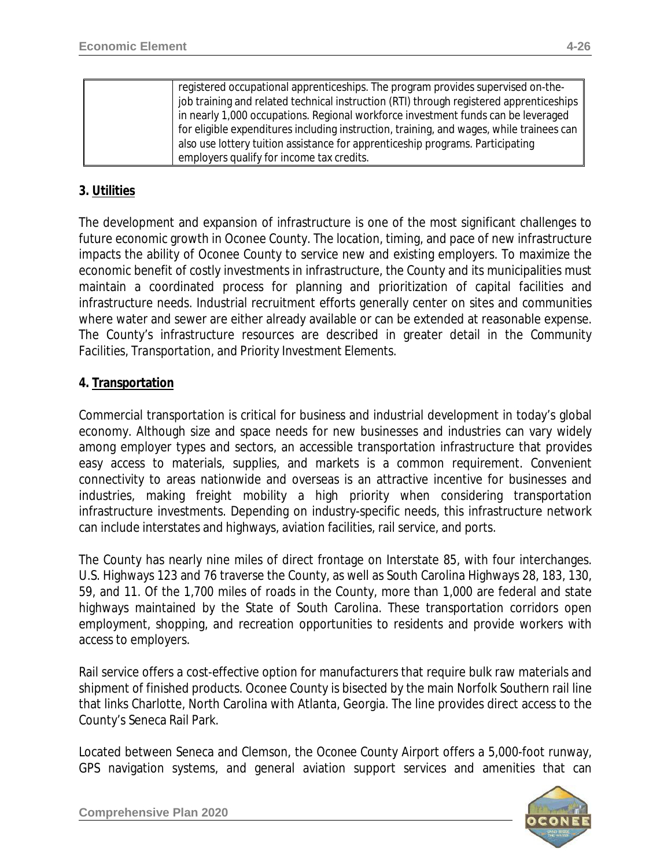| registered occupational apprenticeships. The program provides supervised on-the-         |
|------------------------------------------------------------------------------------------|
| job training and related technical instruction (RTI) through registered apprenticeships  |
| in nearly 1,000 occupations. Regional workforce investment funds can be leveraged        |
| for eligible expenditures including instruction, training, and wages, while trainees can |
| also use lottery tuition assistance for apprenticeship programs. Participating           |
| employers qualify for income tax credits.                                                |

### **3. Utilities**

The development and expansion of infrastructure is one of the most significant challenges to future economic growth in Oconee County. The location, timing, and pace of new infrastructure impacts the ability of Oconee County to service new and existing employers. To maximize the economic benefit of costly investments in infrastructure, the County and its municipalities must maintain a coordinated process for planning and prioritization of capital facilities and infrastructure needs. Industrial recruitment efforts generally center on sites and communities where water and sewer are either already available or can be extended at reasonable expense. The County's infrastructure resources are described in greater detail in the *Community Facilities, Transportation,* and *Priority Investment Elements*.

### **4. Transportation**

Commercial transportation is critical for business and industrial development in today's global economy. Although size and space needs for new businesses and industries can vary widely among employer types and sectors, an accessible transportation infrastructure that provides easy access to materials, supplies, and markets is a common requirement. Convenient connectivity to areas nationwide and overseas is an attractive incentive for businesses and industries, making freight mobility a high priority when considering transportation infrastructure investments. Depending on industry-specific needs, this infrastructure network can include interstates and highways, aviation facilities, rail service, and ports.

The County has nearly nine miles of direct frontage on Interstate 85, with four interchanges. U.S. Highways 123 and 76 traverse the County, as well as South Carolina Highways 28, 183, 130, 59, and 11. Of the 1,700 miles of roads in the County, more than 1,000 are federal and state highways maintained by the State of South Carolina. These transportation corridors open employment, shopping, and recreation opportunities to residents and provide workers with access to employers.

Rail service offers a cost-effective option for manufacturers that require bulk raw materials and shipment of finished products. Oconee County is bisected by the main Norfolk Southern rail line that links Charlotte, North Carolina with Atlanta, Georgia. The line provides direct access to the County's Seneca Rail Park.

Located between Seneca and Clemson, the *Oconee County Airport* offers a 5,000-foot runway, GPS navigation systems, and general aviation support services and amenities that can

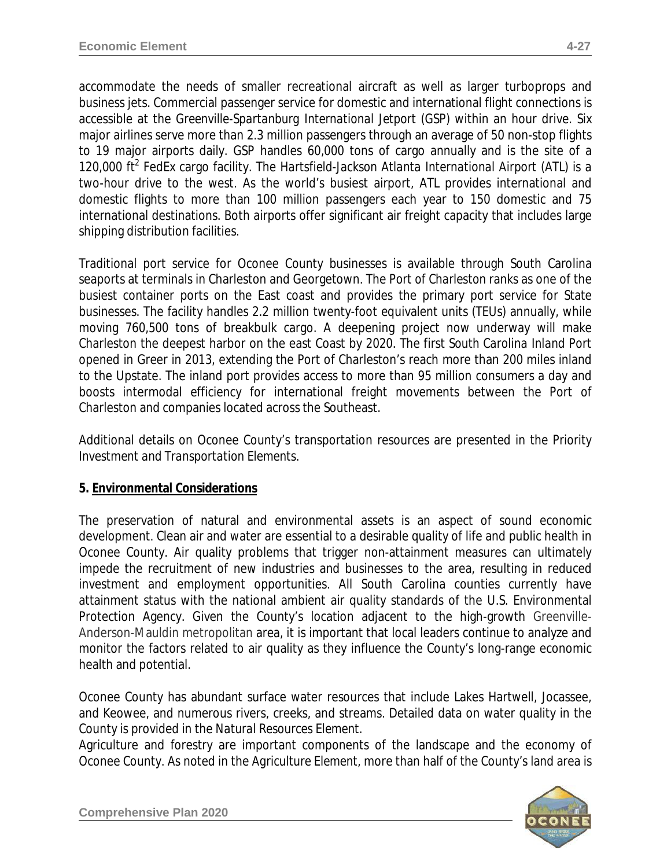accommodate the needs of smaller recreational aircraft as well as larger turboprops and business jets. Commercial passenger service for domestic and international flight connections is accessible at the *Greenville-Spartanburg International Jetport* (GSP) within an hour drive. Six major airlines serve more than 2.3 million passengers through an average of 50 non-stop flights to 19 major airports daily. GSP handles 60,000 tons of cargo annually and is the site of a 120,000 ft2 FedEx cargo facility. The *Hartsfield-Jackson Atlanta International Airport* (ATL) is a two-hour drive to the west. As the world's busiest airport, ATL provides international and domestic flights to more than 100 million passengers each year to 150 domestic and 75 international destinations. Both airports offer significant air freight capacity that includes large shipping distribution facilities.

Traditional port service for Oconee County businesses is available through South Carolina seaports at terminals in Charleston and Georgetown. The *Port of Charleston* ranks as one of the busiest container ports on the East coast and provides the primary port service for State businesses. The facility handles 2.2 million twenty-foot equivalent units (TEUs) annually, while moving 760,500 tons of breakbulk cargo. A deepening project now underway will make Charleston the deepest harbor on the east Coast by 2020. The first *South Carolina Inland Port* opened in Greer in 2013, extending the Port of Charleston's reach more than 200 miles inland to the Upstate. The inland port provides access to more than 95 million consumers a day and boosts intermodal efficiency for international freight movements between the Port of Charleston and companies located across the Southeast.

Additional details on Oconee County's transportation resources are presented in the *Priority Investment and Transportation Elements*.

### **5. Environmental Considerations**

The preservation of natural and environmental assets is an aspect of sound economic development. Clean air and water are essential to a desirable quality of life and public health in Oconee County. Air quality problems that trigger non-attainment measures can ultimately impede the recruitment of new industries and businesses to the area, resulting in reduced investment and employment opportunities. All South Carolina counties currently have attainment status with the national ambient air quality standards of the U.S. Environmental Protection Agency. Given the County's location adjacent to the high-growth Greenville-Anderson-Mauldin metropolitan area, it is important that local leaders continue to analyze and monitor the factors related to air quality as they influence the County's long-range economic health and potential.

Oconee County has abundant surface water resources that include Lakes Hartwell, Jocassee, and Keowee, and numerous rivers, creeks, and streams. Detailed data on water quality in the County is provided in the *Natural Resources Element*.

Agriculture and forestry are important components of the landscape and the economy of Oconee County. As noted in the *Agriculture Element*, more than half of the County's land area is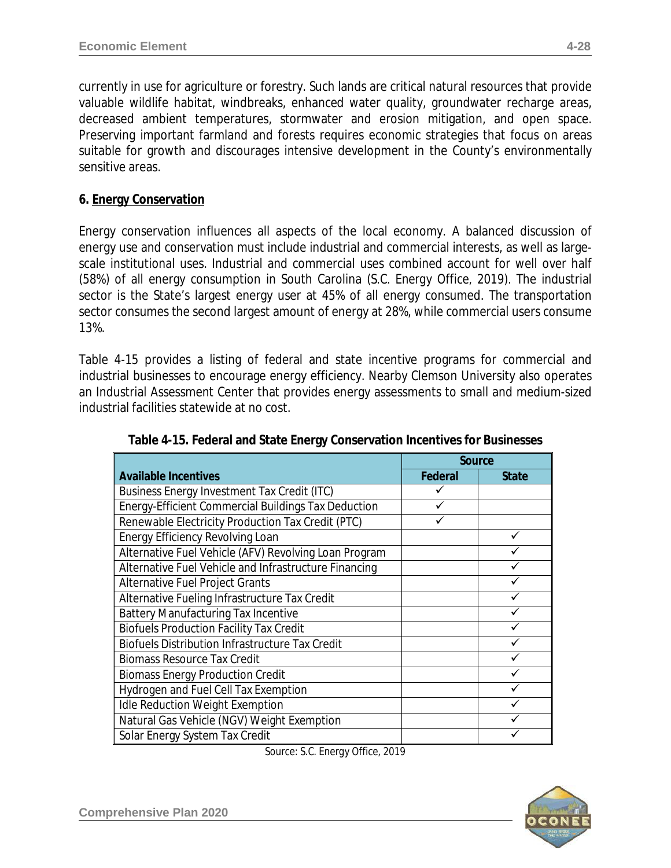currently in use for agriculture or forestry. Such lands are critical natural resources that provide valuable wildlife habitat, windbreaks, enhanced water quality, groundwater recharge areas, decreased ambient temperatures, stormwater and erosion mitigation, and open space. Preserving important farmland and forests requires economic strategies that focus on areas suitable for growth and discourages intensive development in the County's environmentally sensitive areas.

### **6. Energy Conservation**

Energy conservation influences all aspects of the local economy. A balanced discussion of energy use and conservation must include industrial and commercial interests, as well as largescale institutional uses. Industrial and commercial uses combined account for well over half (58%) of all energy consumption in South Carolina (*S.C. Energy Office, 2019*). The industrial sector is the State's largest energy user at 45% of all energy consumed. The transportation sector consumes the second largest amount of energy at 28%, while commercial users consume 13%.

Table 4-15 provides a listing of federal and state incentive programs for commercial and industrial businesses to encourage energy efficiency. Nearby Clemson University also operates an Industrial Assessment Center that provides energy assessments to small and medium-sized industrial facilities statewide at no cost.

|                                                        | Source  |              |
|--------------------------------------------------------|---------|--------------|
| <b>Available Incentives</b>                            | Federal | <b>State</b> |
| Business Energy Investment Tax Credit (ITC)            |         |              |
| Energy-Efficient Commercial Buildings Tax Deduction    |         |              |
| Renewable Electricity Production Tax Credit (PTC)      |         |              |
| <b>Energy Efficiency Revolving Loan</b>                |         |              |
| Alternative Fuel Vehicle (AFV) Revolving Loan Program  |         |              |
| Alternative Fuel Vehicle and Infrastructure Financing  |         |              |
| <b>Alternative Fuel Project Grants</b>                 |         |              |
| Alternative Fueling Infrastructure Tax Credit          |         |              |
| <b>Battery Manufacturing Tax Incentive</b>             |         |              |
| <b>Biofuels Production Facility Tax Credit</b>         |         |              |
| <b>Biofuels Distribution Infrastructure Tax Credit</b> |         |              |
| <b>Biomass Resource Tax Credit</b>                     |         |              |
| <b>Biomass Energy Production Credit</b>                |         |              |
| Hydrogen and Fuel Cell Tax Exemption                   |         |              |
| <b>Idle Reduction Weight Exemption</b>                 |         |              |
| Natural Gas Vehicle (NGV) Weight Exemption             |         |              |
| Solar Energy System Tax Credit                         |         |              |

**Table 4-15. Federal and State Energy Conservation Incentives for Businesses**

*Source: S.C. Energy Office, 2019*

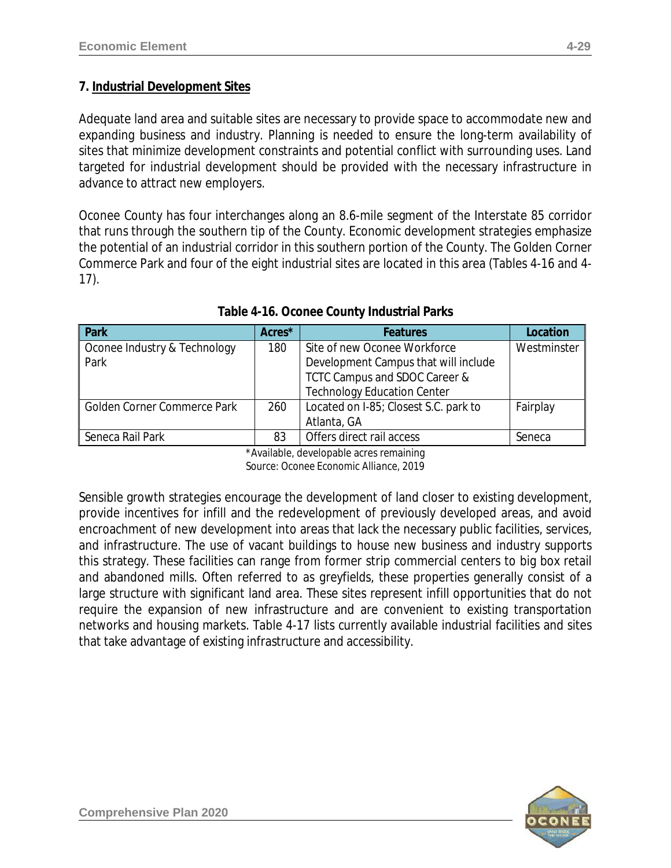### **7. Industrial Development Sites**

Adequate land area and suitable sites are necessary to provide space to accommodate new and expanding business and industry. Planning is needed to ensure the long-term availability of sites that minimize development constraints and potential conflict with surrounding uses. Land targeted for industrial development should be provided with the necessary infrastructure in advance to attract new employers.

Oconee County has four interchanges along an 8.6-mile segment of the Interstate 85 corridor that runs through the southern tip of the County. Economic development strategies emphasize the potential of an industrial corridor in this southern portion of the County. The Golden Corner Commerce Park and four of the eight industrial sites are located in this area (Tables 4-16 and 4- 17).

| Park                               | Acres* | <b>Features</b>                       | Location    |
|------------------------------------|--------|---------------------------------------|-------------|
| Oconee Industry & Technology       | 180    | Site of new Oconee Workforce          | Westminster |
| Park                               |        | Development Campus that will include  |             |
|                                    |        | TCTC Campus and SDOC Career &         |             |
|                                    |        | <b>Technology Education Center</b>    |             |
| <b>Golden Corner Commerce Park</b> | 260    | Located on I-85; Closest S.C. park to | Fairplay    |
|                                    |        | Atlanta, GA                           |             |
| Seneca Rail Park                   | 83     | Offers direct rail access             | Seneca      |

### **Table 4-16. Oconee County Industrial Parks**

\*Available, developable acres remaining *Source: Oconee Economic Alliance, 2019*

Sensible growth strategies encourage the development of land closer to existing development, provide incentives for infill and the redevelopment of previously developed areas, and avoid encroachment of new development into areas that lack the necessary public facilities, services, and infrastructure. The use of vacant buildings to house new business and industry supports this strategy. These facilities can range from former strip commercial centers to big box retail and abandoned mills. Often referred to as *greyfields*, these properties generally consist of a large structure with significant land area. These sites represent infill opportunities that do not require the expansion of new infrastructure and are convenient to existing transportation networks and housing markets. Table 4-17 lists currently available industrial facilities and sites that take advantage of existing infrastructure and accessibility.

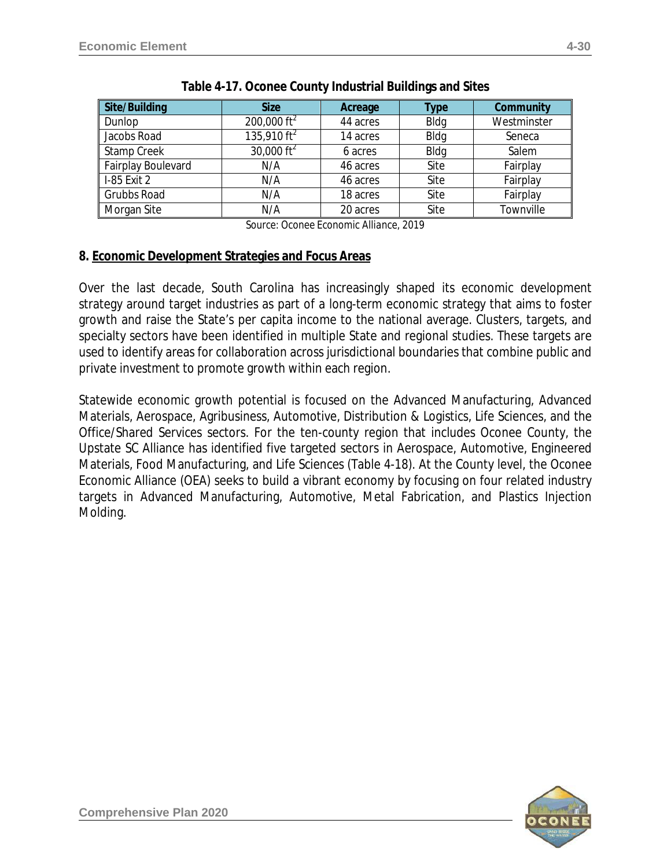| Site/Building      | <b>Size</b>             | Acreage  | Type        | Community   |
|--------------------|-------------------------|----------|-------------|-------------|
| Dunlop             | 200,000 $ft^2$          | 44 acres | Bldg        | Westminster |
| Jacobs Road        | 135,910 ft <sup>2</sup> | 14 acres | <b>Bldg</b> | Seneca      |
| Stamp Creek        | 30,000 $ft^2$           | 6 acres  | Bldg        | Salem       |
| Fairplay Boulevard | N/A                     | 46 acres | Site        | Fairplay    |
| I-85 Exit 2        | N/A                     | 46 acres | Site        | Fairplay    |
| Grubbs Road        | N/A                     | 18 acres | Site        | Fairplay    |
| Morgan Site        | N/A                     | 20 acres | Site        | Townville   |

| Table 4-17. Oconee County Industrial Buildings and Sites |  |  |
|----------------------------------------------------------|--|--|
|                                                          |  |  |

*Source: Oconee Economic Alliance, 2019*

### **8. Economic Development Strategies and Focus Areas**

Over the last decade, South Carolina has increasingly shaped its economic development strategy around target industries as part of a long-term economic strategy that aims to foster growth and raise the State's per capita income to the national average. Clusters, targets, and specialty sectors have been identified in multiple State and regional studies. These targets are used to identify areas for collaboration across jurisdictional boundaries that combine public and private investment to promote growth within each region.

Statewide economic growth potential is focused on the Advanced Manufacturing, Advanced Materials, Aerospace, Agribusiness, Automotive, Distribution & Logistics, Life Sciences, and the Office/Shared Services sectors. For the ten-county region that includes Oconee County, the Upstate SC Alliance has identified five targeted sectors in Aerospace, Automotive, Engineered Materials, Food Manufacturing, and Life Sciences (Table 4-18). At the County level, the Oconee Economic Alliance (OEA) seeks to build a vibrant economy by focusing on four related industry targets in Advanced Manufacturing, Automotive, Metal Fabrication, and Plastics Injection Molding.

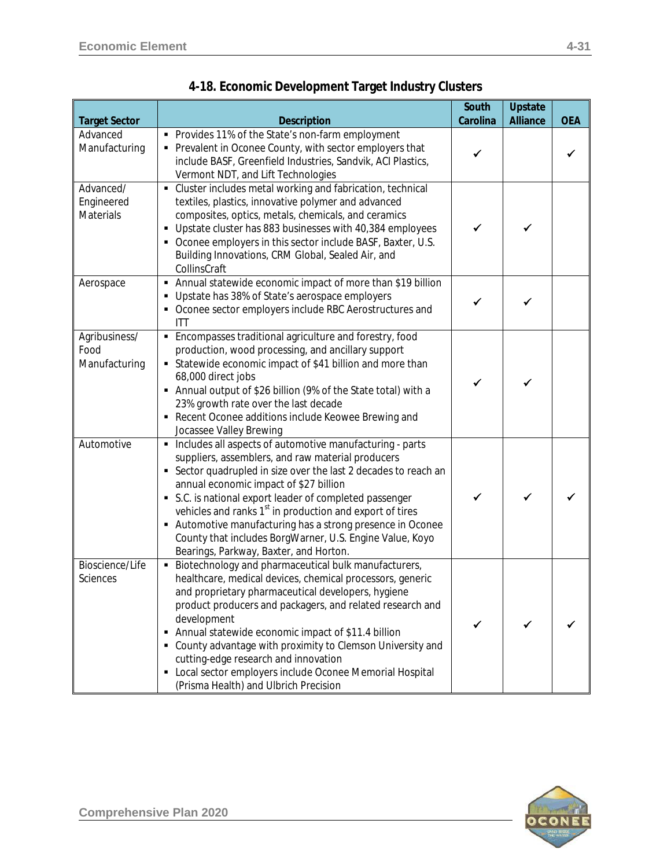| <b>Target Sector</b>                        | <b>Description</b>                                                                                                                                                                                                                                                                                                                                                                                                                                                                                                               | South<br>Carolina | <b>Upstate</b><br><b>Alliance</b> | <b>OEA</b> |
|---------------------------------------------|----------------------------------------------------------------------------------------------------------------------------------------------------------------------------------------------------------------------------------------------------------------------------------------------------------------------------------------------------------------------------------------------------------------------------------------------------------------------------------------------------------------------------------|-------------------|-----------------------------------|------------|
| Advanced<br>Manufacturing                   | Provides 11% of the State's non-farm employment<br>٠<br>Prevalent in Oconee County, with sector employers that<br>include BASF, Greenfield Industries, Sandvik, ACI Plastics,<br>Vermont NDT, and Lift Technologies                                                                                                                                                                                                                                                                                                              | ✓                 |                                   |            |
| Advanced/<br>Engineered<br><b>Materials</b> | Cluster includes metal working and fabrication, technical<br>٠<br>textiles, plastics, innovative polymer and advanced<br>composites, optics, metals, chemicals, and ceramics<br>Upstate cluster has 883 businesses with 40,384 employees<br>• Oconee employers in this sector include BASF, Baxter, U.S.<br>Building Innovations, CRM Global, Sealed Air, and<br>CollinsCraft                                                                                                                                                    | ✓                 |                                   |            |
| Aerospace                                   | Annual statewide economic impact of more than \$19 billion<br>٠<br>Upstate has 38% of State's aerospace employers<br>٠<br>• Oconee sector employers include RBC Aerostructures and<br>ITT                                                                                                                                                                                                                                                                                                                                        | ✓                 |                                   |            |
| Agribusiness/<br>Food<br>Manufacturing      | Encompasses traditional agriculture and forestry, food<br>$\blacksquare$<br>production, wood processing, and ancillary support<br>Statewide economic impact of \$41 billion and more than<br>68,000 direct jobs<br>• Annual output of \$26 billion (9% of the State total) with a<br>23% growth rate over the last decade<br>Recent Oconee additions include Keowee Brewing and<br>Jocassee Valley Brewing                                                                                                                       | ✓                 | ✓                                 |            |
| Automotive                                  | Includes all aspects of automotive manufacturing - parts<br>suppliers, assemblers, and raw material producers<br>Sector quadrupled in size over the last 2 decades to reach an<br>annual economic impact of \$27 billion<br>• S.C. is national export leader of completed passenger<br>vehicles and ranks 1 <sup>st</sup> in production and export of tires<br>Automotive manufacturing has a strong presence in Oconee<br>County that includes BorgWarner, U.S. Engine Value, Koyo<br>Bearings, Parkway, Baxter, and Horton.    | ✔                 |                                   |            |
| Bioscience/Life<br><b>Sciences</b>          | Biotechnology and pharmaceutical bulk manufacturers,<br>٠<br>healthcare, medical devices, chemical processors, generic<br>and proprietary pharmaceutical developers, hygiene<br>product producers and packagers, and related research and<br>development<br>Annual statewide economic impact of \$11.4 billion<br>٠<br>• County advantage with proximity to Clemson University and<br>cutting-edge research and innovation<br>• Local sector employers include Oconee Memorial Hospital<br>(Prisma Health) and Ulbrich Precision | ✓                 |                                   |            |

**4-18. Economic Development Target Industry Clusters**

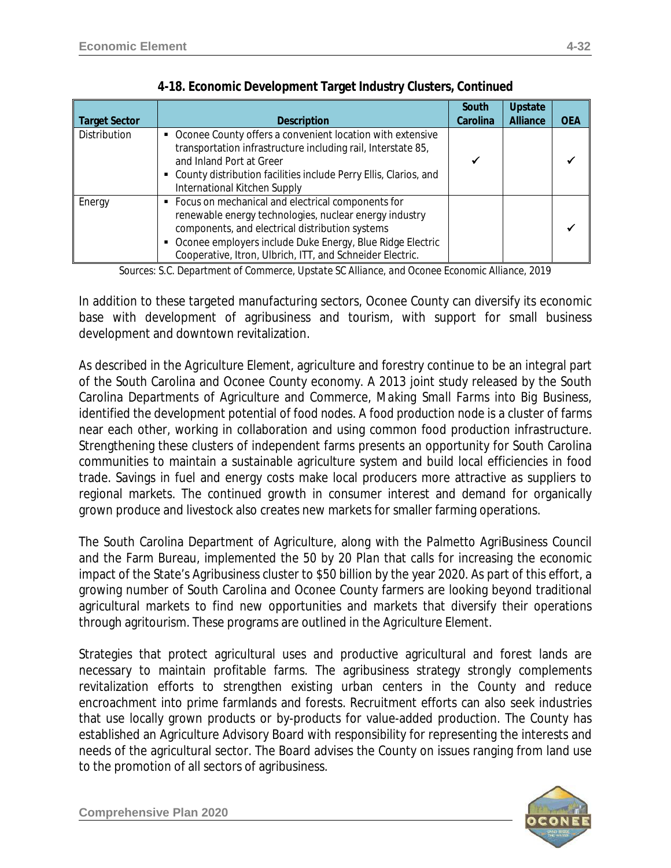|                      |                                                                                                                                                                                                                                                                                              | South    | <b>Upstate</b>  |            |
|----------------------|----------------------------------------------------------------------------------------------------------------------------------------------------------------------------------------------------------------------------------------------------------------------------------------------|----------|-----------------|------------|
| <b>Target Sector</b> | <b>Description</b>                                                                                                                                                                                                                                                                           | Carolina | <b>Alliance</b> | <b>OEA</b> |
| Distribution         | • Oconee County offers a convenient location with extensive<br>transportation infrastructure including rail, Interstate 85,<br>and Inland Port at Greer<br>• County distribution facilities include Perry Ellis, Clarios, and<br>International Kitchen Supply                                |          |                 |            |
| Energy               | • Focus on mechanical and electrical components for<br>renewable energy technologies, nuclear energy industry<br>components, and electrical distribution systems<br>• Oconee employers include Duke Energy, Blue Ridge Electric<br>Cooperative, Itron, Ulbrich, ITT, and Schneider Electric. |          |                 |            |

**4-18. Economic Development Target Industry Clusters,** *Continued*

*Sources: S.C. Department of Commerce, Upstate SC Alliance, and Oconee Economic Alliance, 2019*

In addition to these targeted manufacturing sectors, Oconee County can diversify its economic base with development of agribusiness and tourism, with support for small business development and downtown revitalization.

As described in the *Agriculture Element*, agriculture and forestry continue to be an integral part of the South Carolina and Oconee County economy. A 2013 joint study released by the South Carolina Departments of Agriculture and Commerce, *Making Small Farms into Big Business*, identified the development potential of *food nodes*. A *food production node* is a cluster of farms near each other, working in collaboration and using common food production infrastructure. Strengthening these clusters of independent farms presents an opportunity for South Carolina communities to maintain a sustainable agriculture system and build local efficiencies in food trade. Savings in fuel and energy costs make local producers more attractive as suppliers to regional markets. The continued growth in consumer interest and demand for organically grown produce and livestock also creates new markets for smaller farming operations.

The South Carolina Department of Agriculture, along with the Palmetto AgriBusiness Council and the Farm Bureau, implemented the *50 by 20 Plan* that calls for increasing the economic impact of the State's Agribusiness cluster to \$50 billion by the year 2020. As part of this effort, a growing number of South Carolina and Oconee County farmers are looking beyond traditional agricultural markets to find new opportunities and markets that diversify their operations through agritourism. These programs are outlined in the *Agriculture Element*.

Strategies that protect agricultural uses and productive agricultural and forest lands are necessary to maintain profitable farms. The agribusiness strategy strongly complements revitalization efforts to strengthen existing urban centers in the County and reduce encroachment into prime farmlands and forests. Recruitment efforts can also seek industries that use locally grown products or by-products for value-added production. The County has established an Agriculture Advisory Board with responsibility for representing the interests and needs of the agricultural sector. The Board advises the County on issues ranging from land use to the promotion of all sectors of agribusiness.

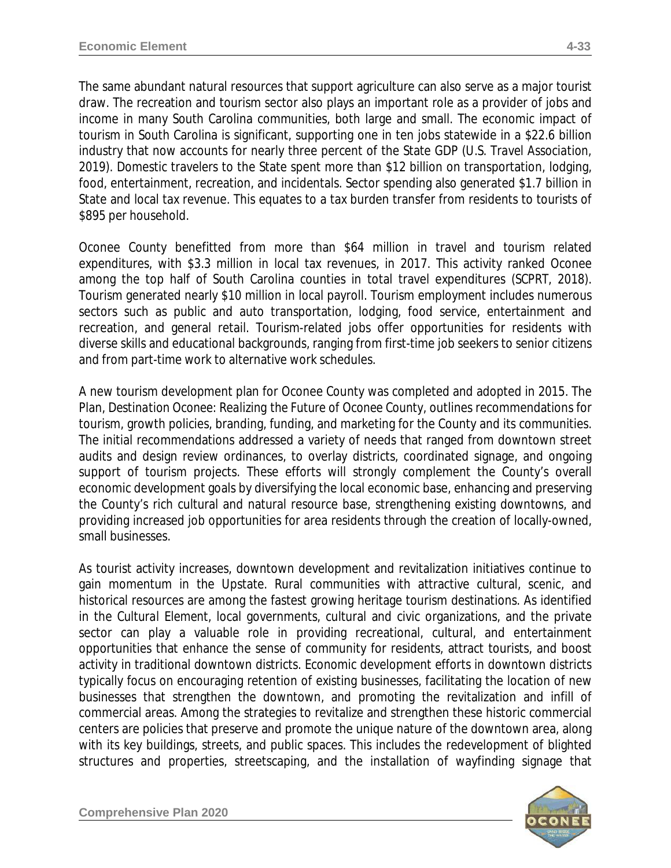The same abundant natural resources that support agriculture can also serve as a major tourist draw. The recreation and tourism sector also plays an important role as a provider of jobs and income in many South Carolina communities, both large and small. The economic impact of tourism in South Carolina is significant, supporting one in ten jobs statewide in a \$22.6 billion industry that now accounts for nearly three percent of the State GDP (*U.S. Travel Association, 2019*). Domestic travelers to the State spent more than \$12 billion on transportation, lodging, food, entertainment, recreation, and incidentals. Sector spending also generated \$1.7 billion in State and local tax revenue. This equates to a tax burden transfer from residents to tourists of \$895 per household.

Oconee County benefitted from more than \$64 million in travel and tourism related expenditures, with \$3.3 million in local tax revenues, in 2017. This activity ranked Oconee among the top half of South Carolina counties in total travel expenditures *(SCPRT, 2018).*  Tourism generated nearly \$10 million in local payroll. Tourism employment includes numerous sectors such as public and auto transportation, lodging, food service, entertainment and recreation, and general retail. Tourism-related jobs offer opportunities for residents with diverse skills and educational backgrounds, ranging from first-time job seekers to senior citizens and from part-time work to alternative work schedules.

A new tourism development plan for Oconee County was completed and adopted in 2015. The Plan, *Destination Oconee: Realizing the Future of Oconee County*, outlines recommendations for tourism, growth policies, branding, funding, and marketing for the County and its communities. The initial recommendations addressed a variety of needs that ranged from downtown street audits and design review ordinances, to overlay districts, coordinated signage, and ongoing support of tourism projects. These efforts will strongly complement the County's overall economic development goals by diversifying the local economic base, enhancing and preserving the County's rich cultural and natural resource base, strengthening existing downtowns, and providing increased job opportunities for area residents through the creation of locally-owned, small businesses.

As tourist activity increases, downtown development and revitalization initiatives continue to gain momentum in the Upstate. Rural communities with attractive cultural, scenic, and historical resources are among the fastest growing heritage tourism destinations. As identified in the *Cultural Element*, local governments, cultural and civic organizations, and the private sector can play a valuable role in providing recreational, cultural, and entertainment opportunities that enhance the sense of community for residents, attract tourists, and boost activity in traditional downtown districts. Economic development efforts in downtown districts typically focus on encouraging retention of existing businesses, facilitating the location of new businesses that strengthen the downtown, and promoting the revitalization and infill of commercial areas. Among the strategies to revitalize and strengthen these historic commercial centers are policies that preserve and promote the unique nature of the downtown area, along with its key buildings, streets, and public spaces. This includes the redevelopment of blighted structures and properties, streetscaping, and the installation of wayfinding signage that

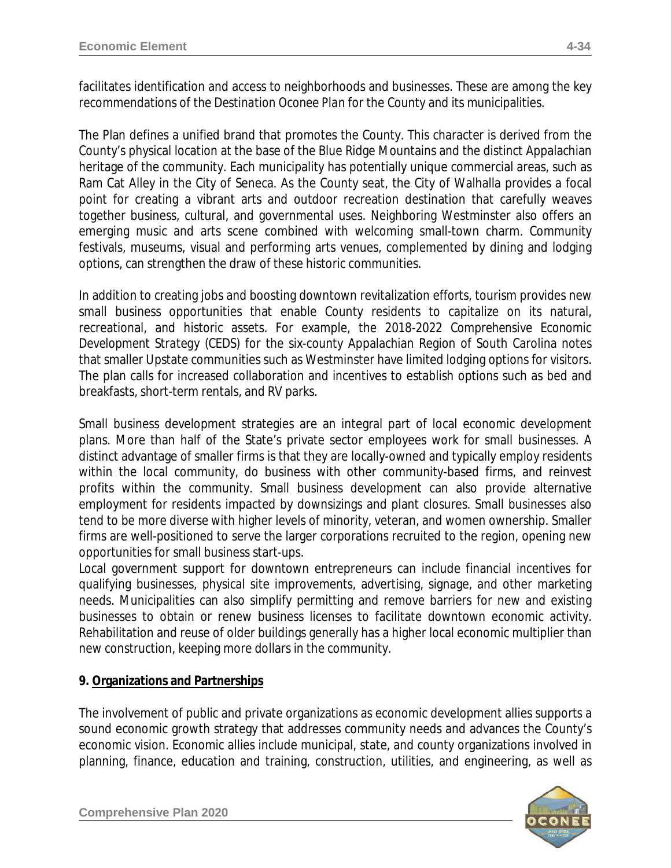facilitates identification and access to neighborhoods and businesses. These are among the key recommendations of the *Destination Oconee Plan* for the County and its municipalities.

The Plan defines a unified brand that promotes the County. This character is derived from the County's physical location at the base of the Blue Ridge Mountains and the distinct Appalachian heritage of the community. Each municipality has potentially unique commercial areas, such as Ram Cat Alley in the City of Seneca. As the County seat, the City of Walhalla provides a focal point for creating a vibrant arts and outdoor recreation destination that carefully weaves together business, cultural, and governmental uses. Neighboring Westminster also offers an emerging music and arts scene combined with welcoming small-town charm. Community festivals, museums, visual and performing arts venues, complemented by dining and lodging options, can strengthen the draw of these historic communities.

In addition to creating jobs and boosting downtown revitalization efforts, tourism provides new small business opportunities that enable County residents to capitalize on its natural, recreational, and historic assets. For example, the 2018-2022 *Comprehensive Economic Development Strategy* (CEDS) for the six-county Appalachian Region of South Carolina notes that smaller Upstate communities such as Westminster have limited lodging options for visitors. The plan calls for increased collaboration and incentives to establish options such as bed and breakfasts, short-term rentals, and RV parks.

Small business development strategies are an integral part of local economic development plans. More than half of the State's private sector employees work for small businesses. A distinct advantage of smaller firms is that they are locally-owned and typically employ residents within the local community, do business with other community-based firms, and reinvest profits within the community. Small business development can also provide alternative employment for residents impacted by downsizings and plant closures. Small businesses also tend to be more diverse with higher levels of minority, veteran, and women ownership. Smaller firms are well-positioned to serve the larger corporations recruited to the region, opening new opportunities for small business start-ups.

Local government support for downtown entrepreneurs can include financial incentives for qualifying businesses, physical site improvements, advertising, signage, and other marketing needs. Municipalities can also simplify permitting and remove barriers for new and existing businesses to obtain or renew business licenses to facilitate downtown economic activity. Rehabilitation and reuse of older buildings generally has a higher local economic multiplier than new construction, keeping more dollars in the community.

### **9. Organizations and Partnerships**

The involvement of public and private organizations as economic development allies supports a sound economic growth strategy that addresses community needs and advances the County's economic vision. Economic allies include municipal, state, and county organizations involved in planning, finance, education and training, construction, utilities, and engineering, as well as

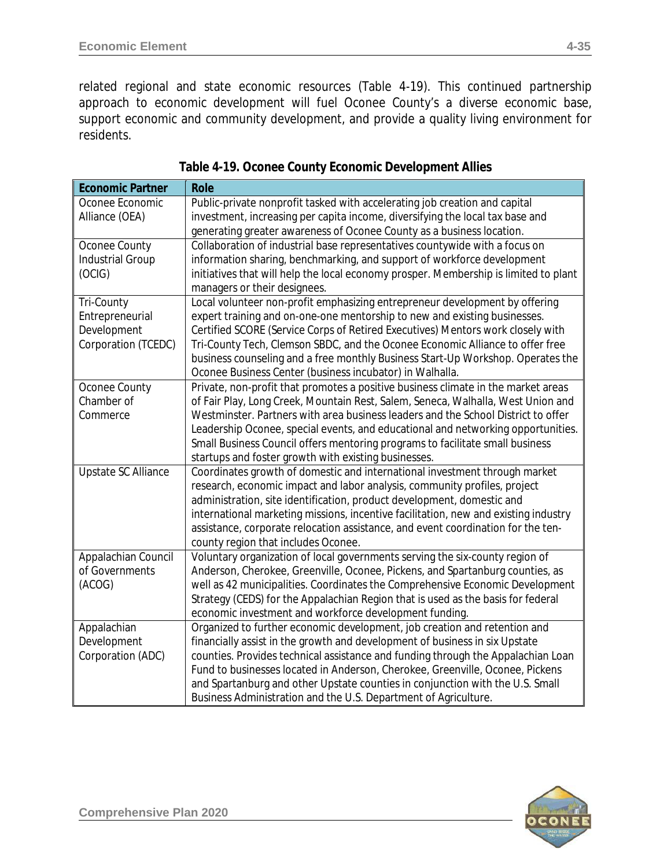related regional and state economic resources (Table 4-19). This continued partnership approach to economic development will fuel Oconee County's a diverse economic base, support economic and community development, and provide a quality living environment for residents.

| <b>Economic Partner</b> | <b>Role</b>                                                                          |  |  |
|-------------------------|--------------------------------------------------------------------------------------|--|--|
| Oconee Economic         | Public-private nonprofit tasked with accelerating job creation and capital           |  |  |
| Alliance (OEA)          | investment, increasing per capita income, diversifying the local tax base and        |  |  |
|                         | generating greater awareness of Oconee County as a business location.                |  |  |
| Oconee County           | Collaboration of industrial base representatives countywide with a focus on          |  |  |
| <b>Industrial Group</b> | information sharing, benchmarking, and support of workforce development              |  |  |
| (OCIG)                  | initiatives that will help the local economy prosper. Membership is limited to plant |  |  |
|                         | managers or their designees.                                                         |  |  |
| Tri-County              | Local volunteer non-profit emphasizing entrepreneur development by offering          |  |  |
| Entrepreneurial         | expert training and on-one-one mentorship to new and existing businesses.            |  |  |
| Development             | Certified SCORE (Service Corps of Retired Executives) Mentors work closely with      |  |  |
| Corporation (TCEDC)     | Tri-County Tech, Clemson SBDC, and the Oconee Economic Alliance to offer free        |  |  |
|                         | business counseling and a free monthly Business Start-Up Workshop. Operates the      |  |  |
|                         | Oconee Business Center (business incubator) in Walhalla.                             |  |  |
| Oconee County           | Private, non-profit that promotes a positive business climate in the market areas    |  |  |
| Chamber of              | of Fair Play, Long Creek, Mountain Rest, Salem, Seneca, Walhalla, West Union and     |  |  |
| Commerce                | Westminster. Partners with area business leaders and the School District to offer    |  |  |
|                         | Leadership Oconee, special events, and educational and networking opportunities.     |  |  |
|                         | Small Business Council offers mentoring programs to facilitate small business        |  |  |
|                         | startups and foster growth with existing businesses.                                 |  |  |
| Upstate SC Alliance     | Coordinates growth of domestic and international investment through market           |  |  |
|                         | research, economic impact and labor analysis, community profiles, project            |  |  |
|                         | administration, site identification, product development, domestic and               |  |  |
|                         | international marketing missions, incentive facilitation, new and existing industry  |  |  |
|                         | assistance, corporate relocation assistance, and event coordination for the ten-     |  |  |
|                         | county region that includes Oconee.                                                  |  |  |
| Appalachian Council     | Voluntary organization of local governments serving the six-county region of         |  |  |
| of Governments          | Anderson, Cherokee, Greenville, Oconee, Pickens, and Spartanburg counties, as        |  |  |
| (ACOG)                  | well as 42 municipalities. Coordinates the Comprehensive Economic Development        |  |  |
|                         | Strategy (CEDS) for the Appalachian Region that is used as the basis for federal     |  |  |
|                         | economic investment and workforce development funding.                               |  |  |
| Appalachian             | Organized to further economic development, job creation and retention and            |  |  |
| Development             | financially assist in the growth and development of business in six Upstate          |  |  |
| Corporation (ADC)       | counties. Provides technical assistance and funding through the Appalachian Loan     |  |  |
|                         | Fund to businesses located in Anderson, Cherokee, Greenville, Oconee, Pickens        |  |  |
|                         | and Spartanburg and other Upstate counties in conjunction with the U.S. Small        |  |  |
|                         | Business Administration and the U.S. Department of Agriculture.                      |  |  |

**Table 4-19. Oconee County Economic Development Allies**

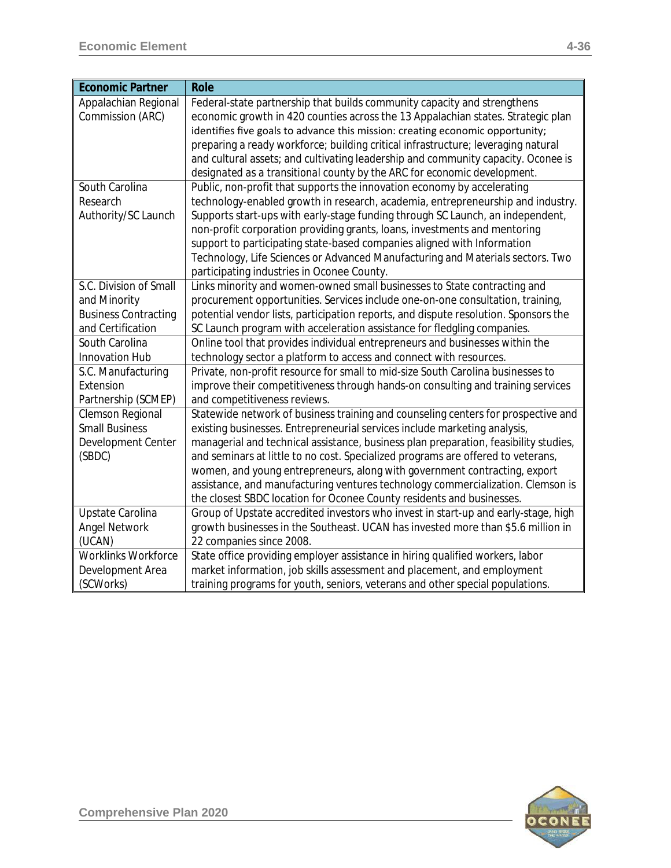| <b>Economic Partner</b>     | <b>Role</b>                                                                                                                                                  |
|-----------------------------|--------------------------------------------------------------------------------------------------------------------------------------------------------------|
| Appalachian Regional        | Federal-state partnership that builds community capacity and strengthens                                                                                     |
| Commission (ARC)            | economic growth in 420 counties across the 13 Appalachian states. Strategic plan                                                                             |
|                             | identifies five goals to advance this mission: creating economic opportunity;                                                                                |
|                             | preparing a ready workforce; building critical infrastructure; leveraging natural                                                                            |
|                             | and cultural assets; and cultivating leadership and community capacity. Oconee is                                                                            |
|                             | designated as a transitional county by the ARC for economic development.                                                                                     |
| South Carolina              | Public, non-profit that supports the innovation economy by accelerating                                                                                      |
| Research                    | technology-enabled growth in research, academia, entrepreneurship and industry.                                                                              |
| Authority/SC Launch         | Supports start-ups with early-stage funding through SC Launch, an independent,                                                                               |
|                             | non-profit corporation providing grants, loans, investments and mentoring                                                                                    |
|                             | support to participating state-based companies aligned with Information                                                                                      |
|                             | Technology, Life Sciences or Advanced Manufacturing and Materials sectors. Two                                                                               |
|                             | participating industries in Oconee County.                                                                                                                   |
| S.C. Division of Small      | Links minority and women-owned small businesses to State contracting and                                                                                     |
| and Minority                | procurement opportunities. Services include one-on-one consultation, training,                                                                               |
| <b>Business Contracting</b> | potential vendor lists, participation reports, and dispute resolution. Sponsors the                                                                          |
| and Certification           | SC Launch program with acceleration assistance for fledgling companies.                                                                                      |
| South Carolina              | Online tool that provides individual entrepreneurs and businesses within the                                                                                 |
| Innovation Hub              | technology sector a platform to access and connect with resources.                                                                                           |
| S.C. Manufacturing          | Private, non-profit resource for small to mid-size South Carolina businesses to                                                                              |
| Extension                   | improve their competitiveness through hands-on consulting and training services                                                                              |
| Partnership (SCMEP)         | and competitiveness reviews.                                                                                                                                 |
| Clemson Regional            | Statewide network of business training and counseling centers for prospective and                                                                            |
| <b>Small Business</b>       | existing businesses. Entrepreneurial services include marketing analysis,                                                                                    |
| Development Center          | managerial and technical assistance, business plan preparation, feasibility studies,                                                                         |
| (SBDC)                      | and seminars at little to no cost. Specialized programs are offered to veterans,                                                                             |
|                             | women, and young entrepreneurs, along with government contracting, export<br>assistance, and manufacturing ventures technology commercialization. Clemson is |
|                             | the closest SBDC location for Oconee County residents and businesses.                                                                                        |
| Upstate Carolina            | Group of Upstate accredited investors who invest in start-up and early-stage, high                                                                           |
| <b>Angel Network</b>        | growth businesses in the Southeast. UCAN has invested more than \$5.6 million in                                                                             |
| (UCAN)                      | 22 companies since 2008.                                                                                                                                     |
| <b>Worklinks Workforce</b>  | State office providing employer assistance in hiring qualified workers, labor                                                                                |
| Development Area            | market information, job skills assessment and placement, and employment                                                                                      |
| (SCWorks)                   | training programs for youth, seniors, veterans and other special populations.                                                                                |
|                             |                                                                                                                                                              |

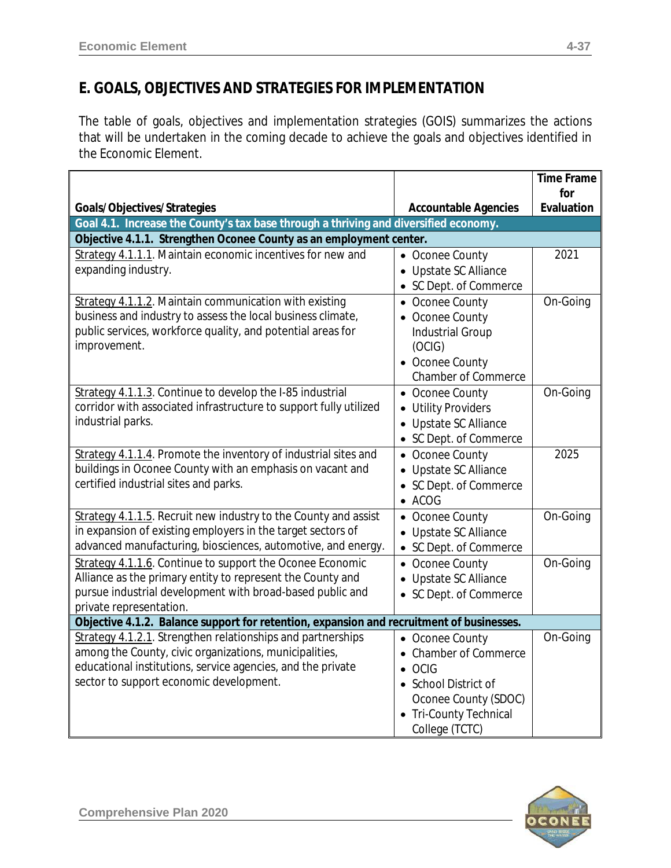# **E. GOALS, OBJECTIVES AND STRATEGIES FOR IMPLEMENTATION**

The table of goals, objectives and implementation strategies (GOIS) summarizes the actions that will be undertaken in the coming decade to achieve the goals and objectives identified in the Economic Element.

|                                                                                                                                |                             | <b>Time Frame</b> |  |
|--------------------------------------------------------------------------------------------------------------------------------|-----------------------------|-------------------|--|
| Goals/Objectives/Strategies                                                                                                    | <b>Accountable Agencies</b> | for<br>Evaluation |  |
| Goal 4.1. Increase the County's tax base through a thriving and diversified economy.                                           |                             |                   |  |
| Objective 4.1.1. Strengthen Oconee County as an employment center.                                                             |                             |                   |  |
| Strategy 4.1.1.1. Maintain economic incentives for new and                                                                     | • Oconee County             | 2021              |  |
| expanding industry.                                                                                                            | • Upstate SC Alliance       |                   |  |
|                                                                                                                                | • SC Dept. of Commerce      |                   |  |
| Strategy 4.1.1.2. Maintain communication with existing                                                                         | • Oconee County             | On-Going          |  |
| business and industry to assess the local business climate,                                                                    | • Oconee County             |                   |  |
| public services, workforce quality, and potential areas for                                                                    | <b>Industrial Group</b>     |                   |  |
| improvement.                                                                                                                   | (OCIG)                      |                   |  |
|                                                                                                                                | • Oconee County             |                   |  |
|                                                                                                                                | <b>Chamber of Commerce</b>  |                   |  |
| Strategy 4.1.1.3. Continue to develop the I-85 industrial                                                                      | • Oconee County             | On-Going          |  |
| corridor with associated infrastructure to support fully utilized                                                              | • Utility Providers         |                   |  |
| industrial parks.                                                                                                              | Upstate SC Alliance         |                   |  |
|                                                                                                                                | • SC Dept. of Commerce      |                   |  |
| Strategy 4.1.1.4. Promote the inventory of industrial sites and                                                                | • Oconee County             | 2025              |  |
| buildings in Oconee County with an emphasis on vacant and                                                                      | • Upstate SC Alliance       |                   |  |
| certified industrial sites and parks.                                                                                          | • SC Dept. of Commerce      |                   |  |
|                                                                                                                                | $\bullet$ ACOG              |                   |  |
| Strategy 4.1.1.5. Recruit new industry to the County and assist<br>in expansion of existing employers in the target sectors of | • Oconee County             | On-Going          |  |
| advanced manufacturing, biosciences, automotive, and energy.                                                                   | • Upstate SC Alliance       |                   |  |
| Strategy 4.1.1.6. Continue to support the Oconee Economic                                                                      | • SC Dept. of Commerce      |                   |  |
| Alliance as the primary entity to represent the County and                                                                     | • Oconee County             | On-Going          |  |
| pursue industrial development with broad-based public and                                                                      | • Upstate SC Alliance       |                   |  |
| private representation.                                                                                                        | • SC Dept. of Commerce      |                   |  |
| Objective 4.1.2. Balance support for retention, expansion and recruitment of businesses.                                       |                             |                   |  |
| Strategy 4.1.2.1. Strengthen relationships and partnerships                                                                    | • Oconee County             | On-Going          |  |
| among the County, civic organizations, municipalities,                                                                         | • Chamber of Commerce       |                   |  |
| educational institutions, service agencies, and the private                                                                    | $\bullet$ OCIG              |                   |  |
| sector to support economic development.                                                                                        | • School District of        |                   |  |
|                                                                                                                                | Oconee County (SDOC)        |                   |  |
|                                                                                                                                | • Tri-County Technical      |                   |  |
|                                                                                                                                | College (TCTC)              |                   |  |

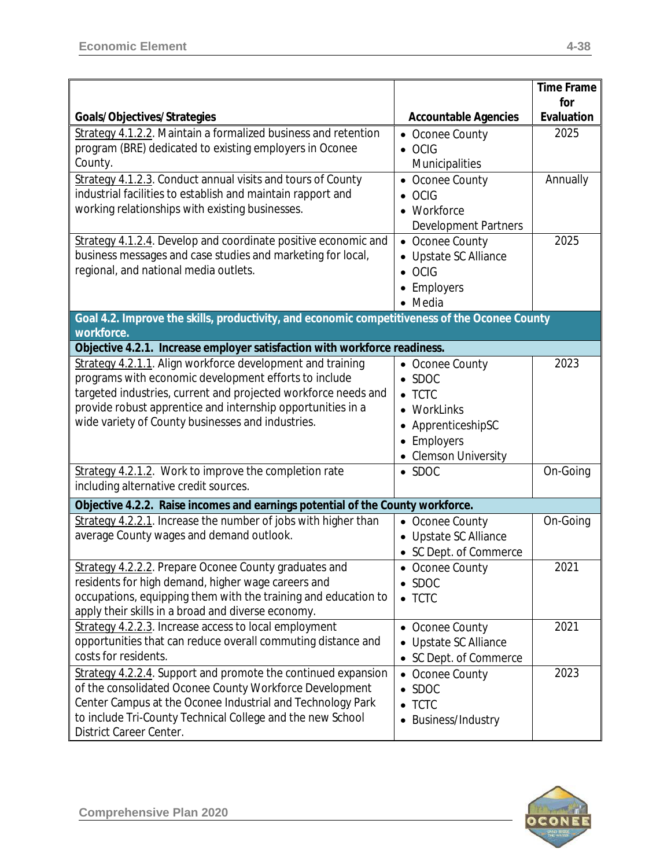|                                                                                                                                                                                                                                                                                                           |                                                                                                                             | <b>Time Frame</b><br>for |
|-----------------------------------------------------------------------------------------------------------------------------------------------------------------------------------------------------------------------------------------------------------------------------------------------------------|-----------------------------------------------------------------------------------------------------------------------------|--------------------------|
| Goals/Objectives/Strategies                                                                                                                                                                                                                                                                               | <b>Accountable Agencies</b>                                                                                                 | Evaluation               |
| Strategy 4.1.2.2. Maintain a formalized business and retention<br>program (BRE) dedicated to existing employers in Oconee<br>County.                                                                                                                                                                      | • Oconee County<br>$\bullet$ OCIG<br>Municipalities                                                                         | 2025                     |
| Strategy 4.1.2.3. Conduct annual visits and tours of County<br>industrial facilities to establish and maintain rapport and<br>working relationships with existing businesses.                                                                                                                             | • Oconee County<br><b>OCIG</b><br>• Workforce<br><b>Development Partners</b>                                                | Annually                 |
| Strategy 4.1.2.4. Develop and coordinate positive economic and<br>business messages and case studies and marketing for local,<br>regional, and national media outlets.                                                                                                                                    | • Oconee County<br>• Upstate SC Alliance<br>$\bullet$ OCIG<br>Employers<br>• Media                                          | 2025                     |
| Goal 4.2. Improve the skills, productivity, and economic competitiveness of the Oconee County<br>workforce.                                                                                                                                                                                               |                                                                                                                             |                          |
| Objective 4.2.1. Increase employer satisfaction with workforce readiness.                                                                                                                                                                                                                                 |                                                                                                                             |                          |
| Strategy 4.2.1.1. Align workforce development and training<br>programs with economic development efforts to include<br>targeted industries, current and projected workforce needs and<br>provide robust apprentice and internship opportunities in a<br>wide variety of County businesses and industries. | • Oconee County<br>$\bullet$ SDOC<br>$\bullet$ TCTC<br>• WorkLinks<br>ApprenticeshipSC<br>Employers<br>• Clemson University | 2023                     |
| Strategy 4.2.1.2. Work to improve the completion rate<br>including alternative credit sources.                                                                                                                                                                                                            | $\bullet$ SDOC                                                                                                              | On-Going                 |
| Objective 4.2.2. Raise incomes and earnings potential of the County workforce.                                                                                                                                                                                                                            |                                                                                                                             |                          |
| Strategy 4.2.2.1. Increase the number of jobs with higher than<br>average County wages and demand outlook.                                                                                                                                                                                                | • Oconee County<br>Upstate SC Alliance<br>• SC Dept. of Commerce                                                            | On-Going                 |
| Strategy 4.2.2.2. Prepare Oconee County graduates and<br>residents for high demand, higher wage careers and<br>occupations, equipping them with the training and education to<br>apply their skills in a broad and diverse economy.                                                                       | Oconee County<br>$\bullet$ SDOC<br>$\bullet$ TCTC                                                                           | 2021                     |
| Strategy 4.2.2.3. Increase access to local employment<br>opportunities that can reduce overall commuting distance and<br>costs for residents.                                                                                                                                                             | • Oconee County<br>• Upstate SC Alliance<br>• SC Dept. of Commerce                                                          | 2021                     |
| Strategy 4.2.2.4. Support and promote the continued expansion<br>of the consolidated Oconee County Workforce Development<br>Center Campus at the Oconee Industrial and Technology Park<br>to include Tri-County Technical College and the new School<br>District Career Center.                           | • Oconee County<br><b>SDOC</b><br>$\bullet$ TCTC<br>• Business/Industry                                                     | 2023                     |

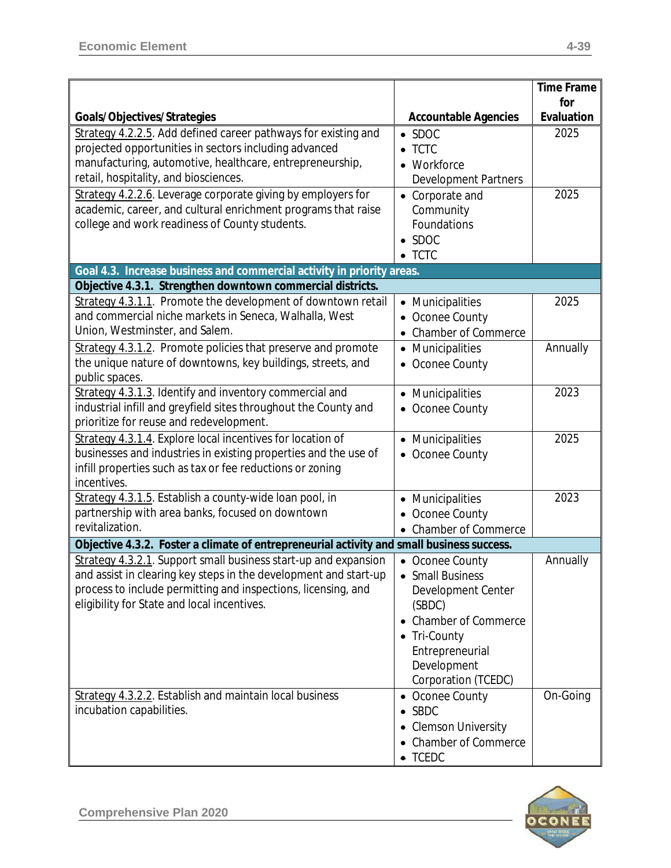|                                                                                                                                                                                                                                                     |                                                                                                                                                                       | <b>Time Frame</b> |
|-----------------------------------------------------------------------------------------------------------------------------------------------------------------------------------------------------------------------------------------------------|-----------------------------------------------------------------------------------------------------------------------------------------------------------------------|-------------------|
| Goals/Objectives/Strategies                                                                                                                                                                                                                         | <b>Accountable Agencies</b>                                                                                                                                           | for<br>Evaluation |
| Strategy 4.2.2.5. Add defined career pathways for existing and<br>projected opportunities in sectors including advanced<br>manufacturing, automotive, healthcare, entrepreneurship,<br>retail, hospitality, and biosciences.                        | $\bullet$ SDOC<br><b>TCTC</b><br>• Workforce<br><b>Development Partners</b>                                                                                           | 2025              |
| Strategy 4.2.2.6. Leverage corporate giving by employers for<br>academic, career, and cultural enrichment programs that raise<br>college and work readiness of County students.                                                                     | • Corporate and<br>Community<br>Foundations<br>$\bullet$ SDOC<br>$\bullet$ TCTC                                                                                       | 2025              |
| Goal 4.3. Increase business and commercial activity in priority areas.                                                                                                                                                                              |                                                                                                                                                                       |                   |
| Objective 4.3.1. Strengthen downtown commercial districts.                                                                                                                                                                                          |                                                                                                                                                                       |                   |
| Strategy 4.3.1.1. Promote the development of downtown retail<br>and commercial niche markets in Seneca, Walhalla, West<br>Union, Westminster, and Salem.                                                                                            | • Municipalities<br>Oconee County<br>$\bullet$<br><b>Chamber of Commerce</b>                                                                                          | 2025              |
| Strategy 4.3.1.2. Promote policies that preserve and promote<br>the unique nature of downtowns, key buildings, streets, and<br>public spaces.                                                                                                       | • Municipalities<br>• Oconee County                                                                                                                                   | Annually          |
| Strategy 4.3.1.3. Identify and inventory commercial and<br>industrial infill and greyfield sites throughout the County and<br>prioritize for reuse and redevelopment.                                                                               | • Municipalities<br>• Oconee County                                                                                                                                   | 2023              |
| Strategy 4.3.1.4. Explore local incentives for location of<br>businesses and industries in existing properties and the use of<br>infill properties such as tax or fee reductions or zoning<br>incentives.                                           | • Municipalities<br>• Oconee County                                                                                                                                   | 2025              |
| Strategy 4.3.1.5. Establish a county-wide loan pool, in<br>partnership with area banks, focused on downtown<br>revitalization.                                                                                                                      | • Municipalities<br>Oconee County<br>$\bullet$<br>• Chamber of Commerce                                                                                               | 2023              |
| Objective 4.3.2. Foster a climate of entrepreneurial activity and small business success.                                                                                                                                                           |                                                                                                                                                                       |                   |
| Strategy 4.3.2.1. Support small business start-up and expansion<br>and assist in clearing key steps in the development and start-up<br>process to include permitting and inspections, licensing, and<br>eligibility for State and local incentives. | • Oconee County<br>• Small Business<br>Development Center<br>(SBDC)<br>• Chamber of Commerce<br>• Tri-County<br>Entrepreneurial<br>Development<br>Corporation (TCEDC) | Annually          |
| Strategy 4.3.2.2. Establish and maintain local business<br>incubation capabilities.                                                                                                                                                                 | Oconee County<br>$\bullet$ SBDC<br>• Clemson University<br><b>Chamber of Commerce</b><br>$\bullet$ TCEDC                                                              | On-Going          |